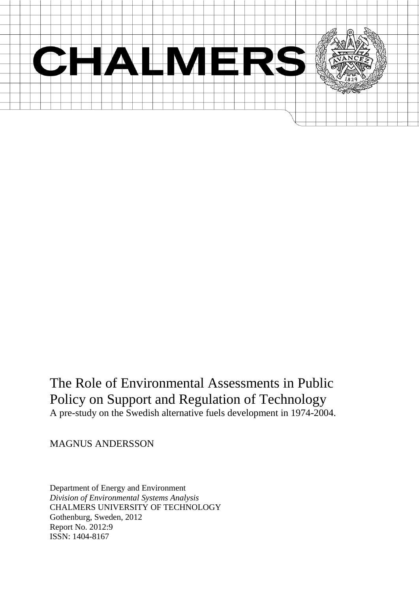

# The Role of Environmental Assessments in Public Policy on Support and Regulation of Technology A pre-study on the Swedish alternative fuels development in 1974-2004.

MAGNUS ANDERSSON

Department of Energy and Environment *Division of Environmental Systems Analysis* CHALMERS UNIVERSITY OF TECHNOLOGY Gothenburg, Sweden, 2012 Report No. 2012:9 ISSN: 1404-8167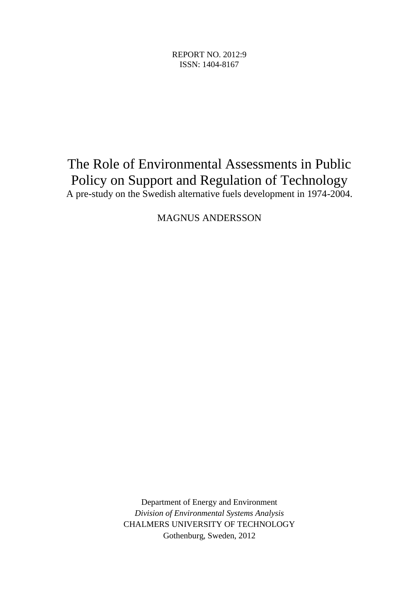REPORT NO. 2012:9 ISSN: 1404-8167

# The Role of Environmental Assessments in Public Policy on Support and Regulation of Technology

A pre-study on the Swedish alternative fuels development in 1974-2004.

MAGNUS ANDERSSON

Department of Energy and Environment *Division of Environmental Systems Analysis* CHALMERS UNIVERSITY OF TECHNOLOGY Gothenburg, Sweden, 2012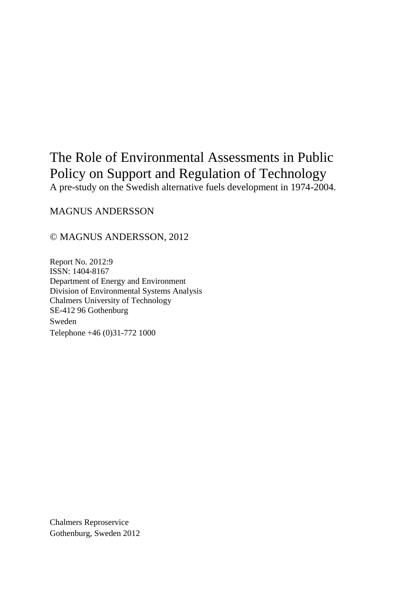# The Role of Environmental Assessments in Public Policy on Support and Regulation of Technology

A pre-study on the Swedish alternative fuels development in 1974-2004.

MAGNUS ANDERSSON

#### © MAGNUS ANDERSSON, 2012

Report No. 2012:9 ISSN: 1404-8167 Department of Energy and Environment Division of Environmental Systems Analysis Chalmers University of Technology SE-412 96 Gothenburg Sweden Telephone +46 (0)31-772 1000

Chalmers Reproservice Gothenburg, Sweden 2012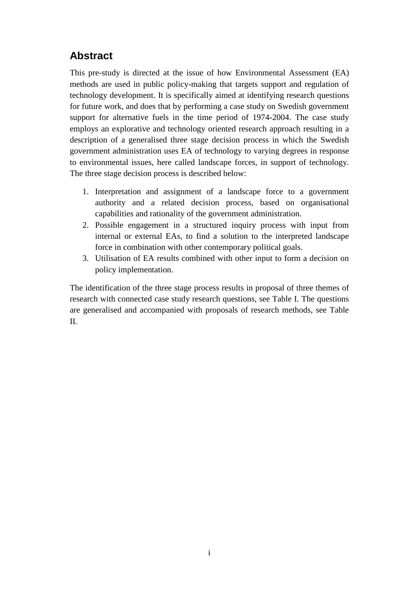# <span id="page-4-0"></span>**Abstract**

This pre-study is directed at the issue of how Environmental Assessment (EA) methods are used in public policy-making that targets support and regulation of technology development. It is specifically aimed at identifying research questions for future work, and does that by performing a case study on Swedish government support for alternative fuels in the time period of 1974-2004. The case study employs an explorative and technology oriented research approach resulting in a description of a generalised three stage decision process in which the Swedish government administration uses EA of technology to varying degrees in response to environmental issues, here called landscape forces, in support of technology. The three stage decision process is described below:

- 1. Interpretation and assignment of a landscape force to a government authority and a related decision process, based on organisational capabilities and rationality of the government administration.
- 2. Possible engagement in a structured inquiry process with input from internal or external EAs, to find a solution to the interpreted landscape force in combination with other contemporary political goals.
- 3. Utilisation of EA results combined with other input to form a decision on policy implementation.

The identification of the three stage process results in proposal of three themes of research with connected case study research questions, see Table I. The questions are generalised and accompanied with proposals of research methods, see Table II.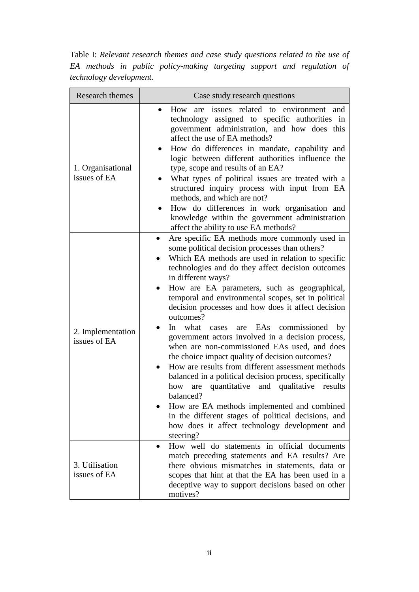Table I: *Relevant research themes and case study questions related to the use of EA methods in public policy-making targeting support and regulation of technology development.*

| Research themes                   | Case study research questions                                                                                                                                                                                                                                                                                                                                                                                                                                                                                                                                                                                                                                                                                                                                                                                                                                                                                                                                          |
|-----------------------------------|------------------------------------------------------------------------------------------------------------------------------------------------------------------------------------------------------------------------------------------------------------------------------------------------------------------------------------------------------------------------------------------------------------------------------------------------------------------------------------------------------------------------------------------------------------------------------------------------------------------------------------------------------------------------------------------------------------------------------------------------------------------------------------------------------------------------------------------------------------------------------------------------------------------------------------------------------------------------|
| 1. Organisational<br>issues of EA | How are<br>issues related to environment and<br>$\bullet$<br>technology assigned to specific authorities in<br>government administration, and how does this<br>affect the use of EA methods?<br>How do differences in mandate, capability and<br>logic between different authorities influence the<br>type, scope and results of an EA?<br>What types of political issues are treated with a<br>structured inquiry process with input from EA<br>methods, and which are not?<br>How do differences in work organisation and<br>knowledge within the government administration<br>affect the ability to use EA methods?                                                                                                                                                                                                                                                                                                                                                 |
| 2. Implementation<br>issues of EA | Are specific EA methods more commonly used in<br>some political decision processes than others?<br>Which EA methods are used in relation to specific<br>technologies and do they affect decision outcomes<br>in different ways?<br>How are EA parameters, such as geographical,<br>temporal and environmental scopes, set in political<br>decision processes and how does it affect decision<br>outcomes?<br>In what<br>are EAs commissioned by<br>cases<br>government actors involved in a decision process,<br>when are non-commissioned EAs used, and does<br>the choice impact quality of decision outcomes?<br>How are results from different assessment methods<br>balanced in a political decision process, specifically<br>quantitative and qualitative<br>how are<br>results<br>balanced?<br>How are EA methods implemented and combined<br>in the different stages of political decisions, and<br>how does it affect technology development and<br>steering? |
| 3. Utilisation<br>issues of EA    | How well do statements in official documents<br>match preceding statements and EA results? Are<br>there obvious mismatches in statements, data or<br>scopes that hint at that the EA has been used in a<br>deceptive way to support decisions based on other<br>motives?                                                                                                                                                                                                                                                                                                                                                                                                                                                                                                                                                                                                                                                                                               |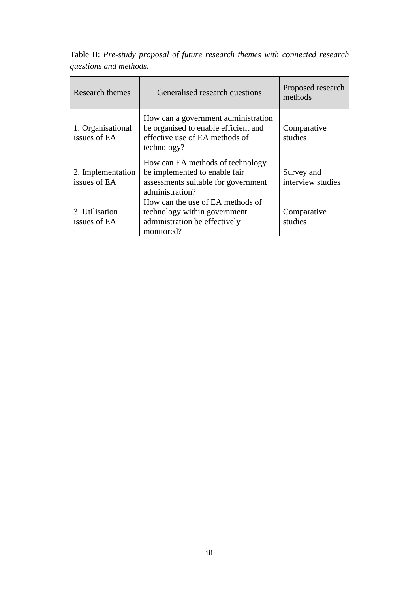| Research themes<br>Generalised research questions |                                                                                                                              | Proposed research<br>methods    |
|---------------------------------------------------|------------------------------------------------------------------------------------------------------------------------------|---------------------------------|
| 1. Organisational<br>issues of EA                 | How can a government administration<br>be organised to enable efficient and<br>effective use of EA methods of<br>technology? | Comparative<br>studies          |
| 2. Implementation<br>issues of EA                 | How can EA methods of technology<br>be implemented to enable fair<br>assessments suitable for government<br>administration?  | Survey and<br>interview studies |
| 3. Utilisation<br>issues of EA                    | How can the use of EA methods of<br>technology within government<br>administration be effectively<br>monitored?              | Comparative<br>studies          |

Table II: *Pre-study proposal of future research themes with connected research questions and methods.*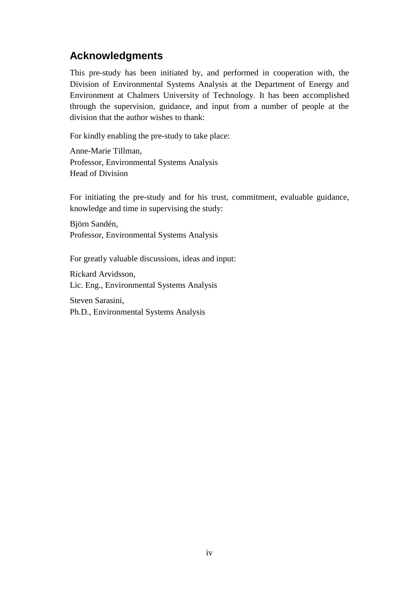# <span id="page-7-0"></span>**Acknowledgments**

This pre-study has been initiated by, and performed in cooperation with, the Division of Environmental Systems Analysis at the Department of Energy and Environment at Chalmers University of Technology. It has been accomplished through the supervision, guidance, and input from a number of people at the division that the author wishes to thank:

For kindly enabling the pre-study to take place:

Anne-Marie Tillman, Professor, Environmental Systems Analysis Head of Division

For initiating the pre-study and for his trust, commitment, evaluable guidance, knowledge and time in supervising the study:

Björn Sandén, Professor, Environmental Systems Analysis

For greatly valuable discussions, ideas and input:

Rickard Arvidsson, Lic. Eng., Environmental Systems Analysis

Steven Sarasini, Ph.D., Environmental Systems Analysis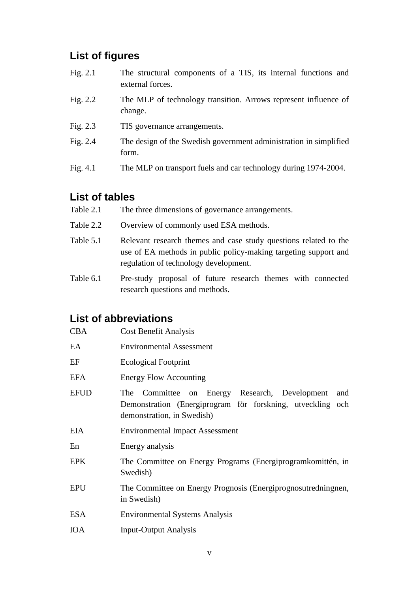# <span id="page-8-0"></span>**List of figures**

- Fig. 2.1 The structural components of a TIS, its internal functions and external forces.
- Fig. 2.2 The MLP of technology transition. Arrows represent influence of change.
- Fig. 2.3 TIS governance arrangements.
- Fig. 2.4 The design of the Swedish government administration in simplified form.
- Fig. 4.1 The MLP on transport fuels and car technology during 1974-2004.

# <span id="page-8-1"></span>**List of tables**

- Table 2.1 The three dimensions of governance arrangements.
- Table 2.2 Overview of commonly used ESA methods.
- Table 5.1 Relevant research themes and case study questions related to the use of EA methods in public policy-making targeting support and regulation of technology development.
- Table 6.1 Pre-study proposal of future research themes with connected research questions and methods.

# <span id="page-8-2"></span>**List of abbreviations**

| <b>CBA</b>  | <b>Cost Benefit Analysis</b>                                                                                                                     |  |  |
|-------------|--------------------------------------------------------------------------------------------------------------------------------------------------|--|--|
| EA          | <b>Environmental Assessment</b>                                                                                                                  |  |  |
| EF          | <b>Ecological Footprint</b>                                                                                                                      |  |  |
| EFA         | <b>Energy Flow Accounting</b>                                                                                                                    |  |  |
| <b>EFUD</b> | The Committee on Energy Research, Development<br>and<br>Demonstration (Energiprogram för forskning, utveckling och<br>demonstration, in Swedish) |  |  |
| EIA         | <b>Environmental Impact Assessment</b>                                                                                                           |  |  |
| En          | Energy analysis                                                                                                                                  |  |  |
| <b>EPK</b>  | The Committee on Energy Programs (Energiprogramkomittén, in<br>Swedish)                                                                          |  |  |
| <b>EPU</b>  | The Committee on Energy Prognosis (Energiprognosutredningnen,<br>in Swedish)                                                                     |  |  |
| <b>ESA</b>  | <b>Environmental Systems Analysis</b>                                                                                                            |  |  |
| <b>IOA</b>  | <b>Input-Output Analysis</b>                                                                                                                     |  |  |
|             |                                                                                                                                                  |  |  |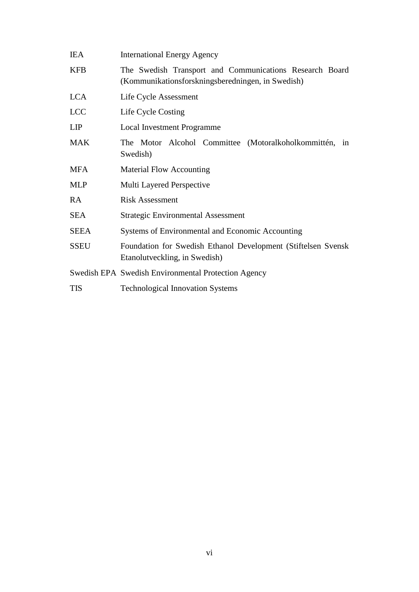| <b>IEA</b>  | <b>International Energy Agency</b>                                                                           |  |  |
|-------------|--------------------------------------------------------------------------------------------------------------|--|--|
| <b>KFB</b>  | The Swedish Transport and Communications Research Board<br>(Kommunikationsforskningsberedningen, in Swedish) |  |  |
| <b>LCA</b>  | Life Cycle Assessment                                                                                        |  |  |
| <b>LCC</b>  | Life Cycle Costing                                                                                           |  |  |
| LIP         | <b>Local Investment Programme</b>                                                                            |  |  |
| <b>MAK</b>  | The Motor Alcohol Committee (Motoralkoholkommittén, in<br>Swedish)                                           |  |  |
| <b>MFA</b>  | <b>Material Flow Accounting</b>                                                                              |  |  |
| <b>MLP</b>  | Multi Layered Perspective                                                                                    |  |  |
| RA          | <b>Risk Assessment</b>                                                                                       |  |  |
| <b>SEA</b>  | <b>Strategic Environmental Assessment</b>                                                                    |  |  |
| <b>SEEA</b> | Systems of Environmental and Economic Accounting                                                             |  |  |
| <b>SSEU</b> | Foundation for Swedish Ethanol Development (Stiftelsen Svensk)<br>Etanolutveckling, in Swedish)              |  |  |
|             | Swedish EPA Swedish Environmental Protection Agency                                                          |  |  |
| <b>TIS</b>  | <b>Technological Innovation Systems</b>                                                                      |  |  |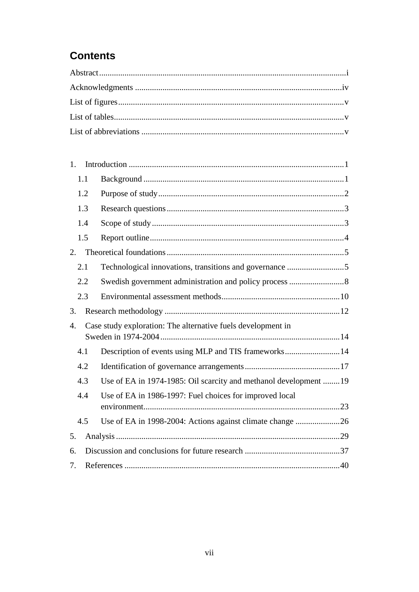# **Contents**

| 1.  |     |                                                                  |  |
|-----|-----|------------------------------------------------------------------|--|
|     | 1.1 |                                                                  |  |
|     | 1.2 |                                                                  |  |
|     | 1.3 |                                                                  |  |
|     | 1.4 |                                                                  |  |
|     | 1.5 |                                                                  |  |
| 2.  |     |                                                                  |  |
| 2.1 |     | Technological innovations, transitions and governance 5          |  |
|     | 2.2 |                                                                  |  |
|     | 2.3 |                                                                  |  |
| 3.  |     |                                                                  |  |
| 4.  |     | Case study exploration: The alternative fuels development in     |  |
|     | 4.1 | Description of events using MLP and TIS frameworks14             |  |
|     | 4.2 |                                                                  |  |
|     | 4.3 | Use of EA in 1974-1985: Oil scarcity and methanol development 19 |  |
|     | 4.4 | Use of EA in 1986-1997: Fuel choices for improved local          |  |
|     | 4.5 | Use of EA in 1998-2004: Actions against climate change 26        |  |
| 5.  |     |                                                                  |  |
| 6.  |     |                                                                  |  |
| 7.  |     |                                                                  |  |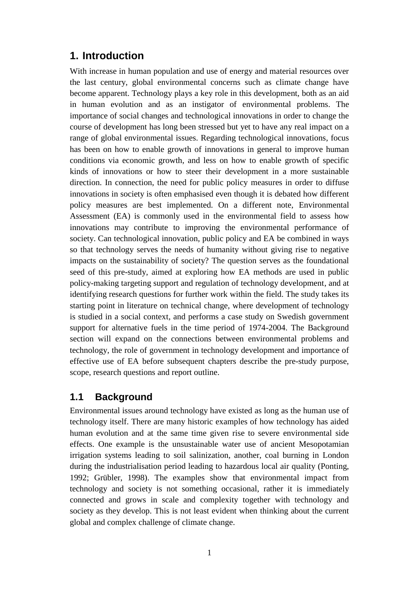# <span id="page-11-0"></span>**1. Introduction**

With increase in human population and use of energy and material resources over the last century, global environmental concerns such as climate change have become apparent. Technology plays a key role in this development, both as an aid in human evolution and as an instigator of environmental problems. The importance of social changes and technological innovations in order to change the course of development has long been stressed but yet to have any real impact on a range of global environmental issues. Regarding technological innovations, focus has been on how to enable growth of innovations in general to improve human conditions via economic growth, and less on how to enable growth of specific kinds of innovations or how to steer their development in a more sustainable direction. In connection, the need for public policy measures in order to diffuse innovations in society is often emphasised even though it is debated how different policy measures are best implemented. On a different note, Environmental Assessment (EA) is commonly used in the environmental field to assess how innovations may contribute to improving the environmental performance of society. Can technological innovation, public policy and EA be combined in ways so that technology serves the needs of humanity without giving rise to negative impacts on the sustainability of society? The question serves as the foundational seed of this pre-study, aimed at exploring how EA methods are used in public policy-making targeting support and regulation of technology development, and at identifying research questions for further work within the field. The study takes its starting point in literature on technical change, where development of technology is studied in a social context, and performs a case study on Swedish government support for alternative fuels in the time period of 1974-2004. The Background section will expand on the connections between environmental problems and technology, the role of government in technology development and importance of effective use of EA before subsequent chapters describe the pre-study purpose, scope, research questions and report outline.

# <span id="page-11-1"></span>**1.1 Background**

Environmental issues around technology have existed as long as the human use of technology itself. There are many historic examples of how technology has aided human evolution and at the same time given rise to severe environmental side effects. One example is the unsustainable water use of ancient Mesopotamian irrigation systems leading to soil salinization, another, coal burning in London during the industrialisation period leading to hazardous local air quality (Ponting, 1992; Grübler, 1998). The examples show that environmental impact from technology and society is not something occasional, rather it is immediately connected and grows in scale and complexity together with technology and society as they develop. This is not least evident when thinking about the current global and complex challenge of climate change.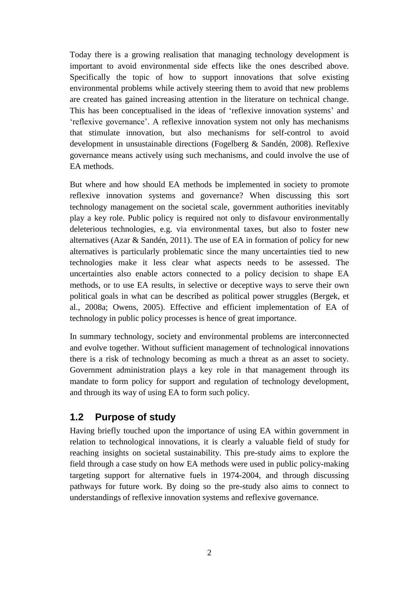Today there is a growing realisation that managing technology development is important to avoid environmental side effects like the ones described above. Specifically the topic of how to support innovations that solve existing environmental problems while actively steering them to avoid that new problems are created has gained increasing attention in the literature on technical change. This has been conceptualised in the ideas of 'reflexive innovation systems' and 'reflexive governance'. A reflexive innovation system not only has mechanisms that stimulate innovation, but also mechanisms for self-control to avoid development in unsustainable directions (Fogelberg & Sandén, 2008). Reflexive governance means actively using such mechanisms, and could involve the use of EA methods.

But where and how should EA methods be implemented in society to promote reflexive innovation systems and governance? When discussing this sort technology management on the societal scale, government authorities inevitably play a key role. Public policy is required not only to disfavour environmentally deleterious technologies, e.g. via environmental taxes, but also to foster new alternatives (Azar & Sandén, 2011). The use of EA in formation of policy for new alternatives is particularly problematic since the many uncertainties tied to new technologies make it less clear what aspects needs to be assessed. The uncertainties also enable actors connected to a policy decision to shape EA methods, or to use EA results, in selective or deceptive ways to serve their own political goals in what can be described as political power struggles (Bergek, et al., 2008a; Owens, 2005). Effective and efficient implementation of EA of technology in public policy processes is hence of great importance.

In summary technology, society and environmental problems are interconnected and evolve together. Without sufficient management of technological innovations there is a risk of technology becoming as much a threat as an asset to society. Government administration plays a key role in that management through its mandate to form policy for support and regulation of technology development, and through its way of using EA to form such policy.

# <span id="page-12-0"></span>**1.2 Purpose of study**

Having briefly touched upon the importance of using EA within government in relation to technological innovations, it is clearly a valuable field of study for reaching insights on societal sustainability. This pre-study aims to explore the field through a case study on how EA methods were used in public policy-making targeting support for alternative fuels in 1974-2004, and through discussing pathways for future work. By doing so the pre-study also aims to connect to understandings of reflexive innovation systems and reflexive governance.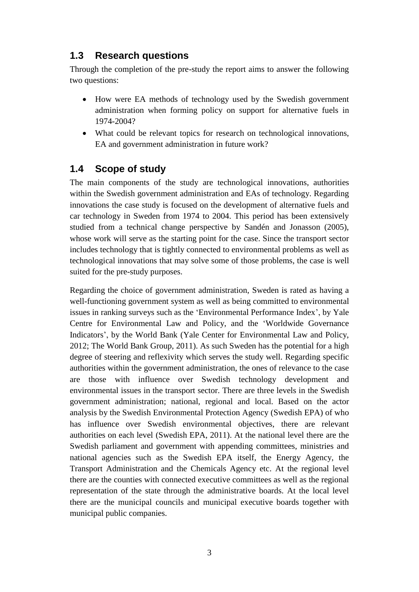# <span id="page-13-0"></span>**1.3 Research questions**

Through the completion of the pre-study the report aims to answer the following two questions:

- How were EA methods of technology used by the Swedish government administration when forming policy on support for alternative fuels in 1974-2004?
- What could be relevant topics for research on technological innovations, EA and government administration in future work?

# <span id="page-13-1"></span>**1.4 Scope of study**

The main components of the study are technological innovations, authorities within the Swedish government administration and EAs of technology. Regarding innovations the case study is focused on the development of alternative fuels and car technology in Sweden from 1974 to 2004. This period has been extensively studied from a technical change perspective by Sandén and Jonasson (2005), whose work will serve as the starting point for the case. Since the transport sector includes technology that is tightly connected to environmental problems as well as technological innovations that may solve some of those problems, the case is well suited for the pre-study purposes.

Regarding the choice of government administration, Sweden is rated as having a well-functioning government system as well as being committed to environmental issues in ranking surveys such as the 'Environmental Performance Index', by Yale Centre for Environmental Law and Policy, and the 'Worldwide Governance Indicators', by the World Bank (Yale Center for Environmental Law and Policy, 2012; The World Bank Group, 2011). As such Sweden has the potential for a high degree of steering and reflexivity which serves the study well. Regarding specific authorities within the government administration, the ones of relevance to the case are those with influence over Swedish technology development and environmental issues in the transport sector. There are three levels in the Swedish government administration; national, regional and local. Based on the actor analysis by the Swedish Environmental Protection Agency (Swedish EPA) of who has influence over Swedish environmental objectives, there are relevant authorities on each level (Swedish EPA, 2011). At the national level there are the Swedish parliament and government with appending committees, ministries and national agencies such as the Swedish EPA itself, the Energy Agency, the Transport Administration and the Chemicals Agency etc. At the regional level there are the counties with connected executive committees as well as the regional representation of the state through the administrative boards. At the local level there are the municipal councils and municipal executive boards together with municipal public companies.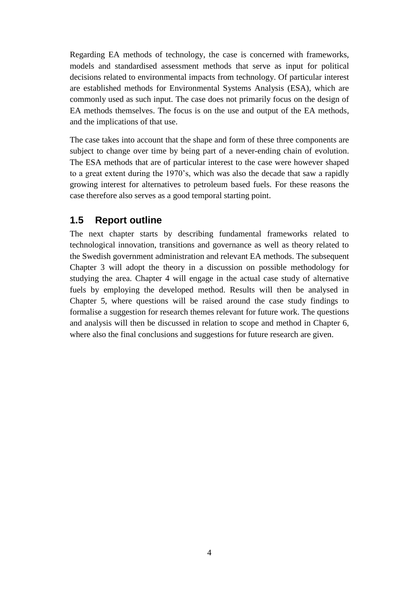Regarding EA methods of technology, the case is concerned with frameworks, models and standardised assessment methods that serve as input for political decisions related to environmental impacts from technology. Of particular interest are established methods for Environmental Systems Analysis (ESA), which are commonly used as such input. The case does not primarily focus on the design of EA methods themselves. The focus is on the use and output of the EA methods, and the implications of that use.

The case takes into account that the shape and form of these three components are subject to change over time by being part of a never-ending chain of evolution. The ESA methods that are of particular interest to the case were however shaped to a great extent during the 1970's, which was also the decade that saw a rapidly growing interest for alternatives to petroleum based fuels. For these reasons the case therefore also serves as a good temporal starting point.

#### <span id="page-14-0"></span>**1.5 Report outline**

The next chapter starts by describing fundamental frameworks related to technological innovation, transitions and governance as well as theory related to the Swedish government administration and relevant EA methods. The subsequent Chapter 3 will adopt the theory in a discussion on possible methodology for studying the area. Chapter 4 will engage in the actual case study of alternative fuels by employing the developed method. Results will then be analysed in Chapter 5, where questions will be raised around the case study findings to formalise a suggestion for research themes relevant for future work. The questions and analysis will then be discussed in relation to scope and method in Chapter 6, where also the final conclusions and suggestions for future research are given.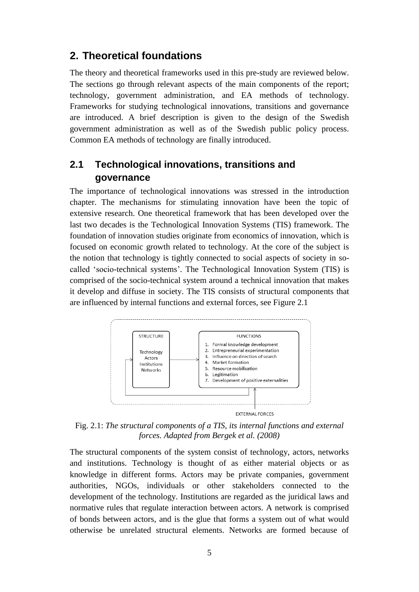#### <span id="page-15-0"></span>**2. Theoretical foundations**

The theory and theoretical frameworks used in this pre-study are reviewed below. The sections go through relevant aspects of the main components of the report; technology, government administration, and EA methods of technology. Frameworks for studying technological innovations, transitions and governance are introduced. A brief description is given to the design of the Swedish government administration as well as of the Swedish public policy process. Common EA methods of technology are finally introduced.

# <span id="page-15-1"></span>**2.1 Technological innovations, transitions and governance**

The importance of technological innovations was stressed in the introduction chapter. The mechanisms for stimulating innovation have been the topic of extensive research. One theoretical framework that has been developed over the last two decades is the Technological Innovation Systems (TIS) framework. The foundation of innovation studies originate from economics of innovation, which is focused on economic growth related to technology. At the core of the subject is the notion that technology is tightly connected to social aspects of society in socalled 'socio-technical systems'. The Technological Innovation System (TIS) is comprised of the socio-technical system around a technical innovation that makes it develop and diffuse in society. The TIS consists of structural components that are influenced by internal functions and external forces, see Figure 2.1



Fig. 2.1: *The structural components of a TIS, its internal functions and external forces. Adapted from Bergek et al. (2008)*

The structural components of the system consist of technology, actors, networks and institutions. Technology is thought of as either material objects or as knowledge in different forms. Actors may be private companies, government authorities, NGOs, individuals or other stakeholders connected to the development of the technology. Institutions are regarded as the juridical laws and normative rules that regulate interaction between actors. A network is comprised of bonds between actors, and is the glue that forms a system out of what would otherwise be unrelated structural elements. Networks are formed because of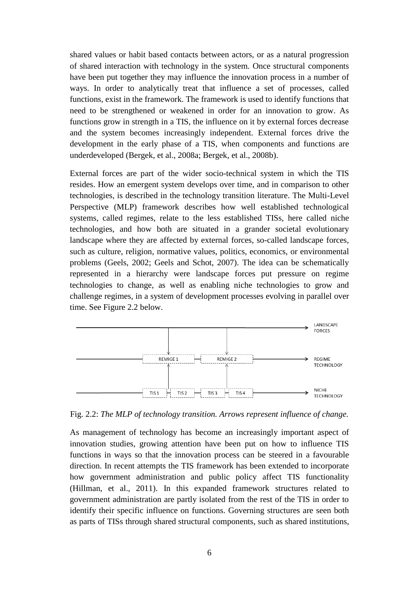shared values or habit based contacts between actors, or as a natural progression of shared interaction with technology in the system. Once structural components have been put together they may influence the innovation process in a number of ways. In order to analytically treat that influence a set of processes, called functions, exist in the framework. The framework is used to identify functions that need to be strengthened or weakened in order for an innovation to grow. As functions grow in strength in a TIS, the influence on it by external forces decrease and the system becomes increasingly independent. External forces drive the development in the early phase of a TIS, when components and functions are underdeveloped (Bergek, et al., 2008a; Bergek, et al., 2008b).

External forces are part of the wider socio-technical system in which the TIS resides. How an emergent system develops over time, and in comparison to other technologies, is described in the technology transition literature. The Multi-Level Perspective (MLP) framework describes how well established technological systems, called regimes, relate to the less established TISs, here called niche technologies, and how both are situated in a grander societal evolutionary landscape where they are affected by external forces, so-called landscape forces, such as culture, religion, normative values, politics, economics, or environmental problems (Geels, 2002; Geels and Schot, 2007). The idea can be schematically represented in a hierarchy were landscape forces put pressure on regime technologies to change, as well as enabling niche technologies to grow and challenge regimes, in a system of development processes evolving in parallel over time. See Figure 2.2 below.



Fig. 2.2: *The MLP of technology transition. Arrows represent influence of change.*

As management of technology has become an increasingly important aspect of innovation studies, growing attention have been put on how to influence TIS functions in ways so that the innovation process can be steered in a favourable direction. In recent attempts the TIS framework has been extended to incorporate how government administration and public policy affect TIS functionality (Hillman, et al., 2011). In this expanded framework structures related to government administration are partly isolated from the rest of the TIS in order to identify their specific influence on functions. Governing structures are seen both as parts of TISs through shared structural components, such as shared institutions,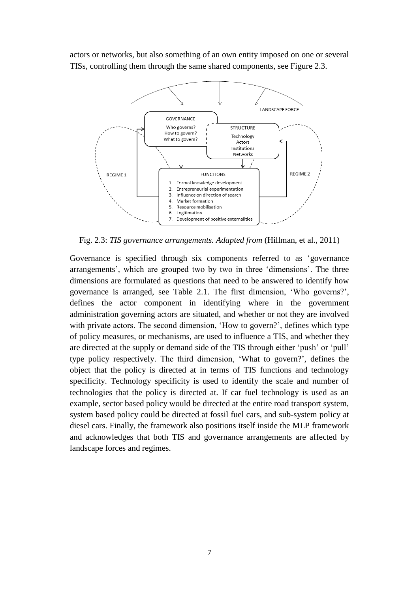actors or networks, but also something of an own entity imposed on one or several TISs, controlling them through the same shared components, see Figure 2.3.



Fig. 2.3: *TIS governance arrangements. Adapted from* (Hillman, et al., 2011)

Governance is specified through six components referred to as 'governance arrangements', which are grouped two by two in three 'dimensions'. The three dimensions are formulated as questions that need to be answered to identify how governance is arranged, see Table 2.1. The first dimension, 'Who governs?', defines the actor component in identifying where in the government administration governing actors are situated, and whether or not they are involved with private actors. The second dimension, 'How to govern?', defines which type of policy measures, or mechanisms, are used to influence a TIS, and whether they are directed at the supply or demand side of the TIS through either 'push' or 'pull' type policy respectively. The third dimension, 'What to govern?', defines the object that the policy is directed at in terms of TIS functions and technology specificity. Technology specificity is used to identify the scale and number of technologies that the policy is directed at. If car fuel technology is used as an example, sector based policy would be directed at the entire road transport system, system based policy could be directed at fossil fuel cars, and sub-system policy at diesel cars. Finally, the framework also positions itself inside the MLP framework and acknowledges that both TIS and governance arrangements are affected by landscape forces and regimes.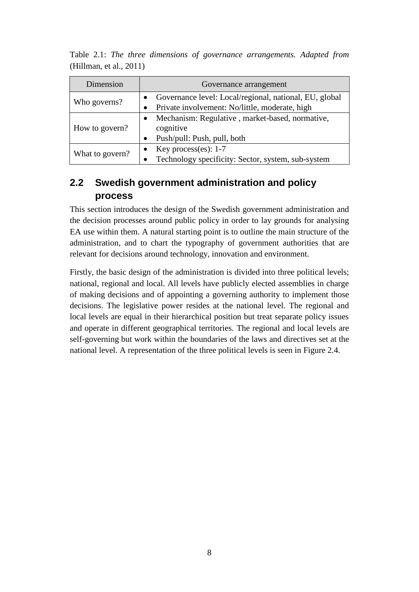| Dimension       | Governance arrangement                                                                                   |  |  |
|-----------------|----------------------------------------------------------------------------------------------------------|--|--|
| Who governs?    | Governance level: Local/regional, national, EU, global<br>Private involvement: No/little, moderate, high |  |  |
| How to govern?  | Mechanism: Regulative, market-based, normative,<br>cognitive<br>Push/pull: Push, pull, both<br>$\bullet$ |  |  |
| What to govern? | Key process(es): $1-7$<br>Technology specificity: Sector, system, sub-system                             |  |  |

Table 2.1: *The three dimensions of governance arrangements. Adapted from* (Hillman, et al., 2011)

# <span id="page-18-0"></span>**2.2 Swedish government administration and policy process**

This section introduces the design of the Swedish government administration and the decision processes around public policy in order to lay grounds for analysing EA use within them. A natural starting point is to outline the main structure of the administration, and to chart the typography of government authorities that are relevant for decisions around technology, innovation and environment.

Firstly, the basic design of the administration is divided into three political levels; national, regional and local. All levels have publicly elected assemblies in charge of making decisions and of appointing a governing authority to implement those decisions. The legislative power resides at the national level. The regional and local levels are equal in their hierarchical position but treat separate policy issues and operate in different geographical territories. The regional and local levels are self-governing but work within the boundaries of the laws and directives set at the national level. A representation of the three political levels is seen in Figure 2.4.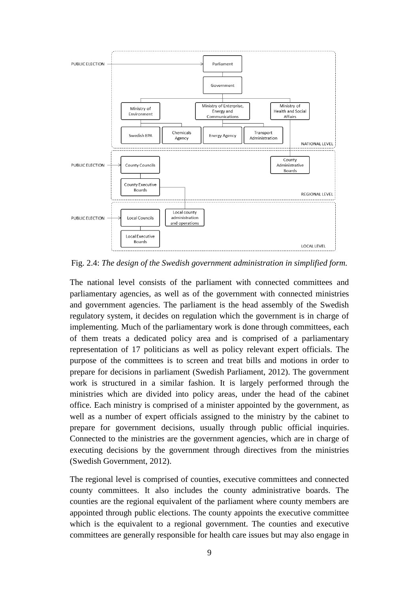

Fig. 2.4: *The design of the Swedish government administration in simplified form.*

The national level consists of the parliament with connected committees and parliamentary agencies, as well as of the government with connected ministries and government agencies. The parliament is the head assembly of the Swedish regulatory system, it decides on regulation which the government is in charge of implementing. Much of the parliamentary work is done through committees, each of them treats a dedicated policy area and is comprised of a parliamentary representation of 17 politicians as well as policy relevant expert officials. The purpose of the committees is to screen and treat bills and motions in order to prepare for decisions in parliament (Swedish Parliament, 2012). The government work is structured in a similar fashion. It is largely performed through the ministries which are divided into policy areas, under the head of the cabinet office. Each ministry is comprised of a minister appointed by the government, as well as a number of expert officials assigned to the ministry by the cabinet to prepare for government decisions, usually through public official inquiries. Connected to the ministries are the government agencies, which are in charge of executing decisions by the government through directives from the ministries (Swedish Government, 2012).

The regional level is comprised of counties, executive committees and connected county committees. It also includes the county administrative boards. The counties are the regional equivalent of the parliament where county members are appointed through public elections. The county appoints the executive committee which is the equivalent to a regional government. The counties and executive committees are generally responsible for health care issues but may also engage in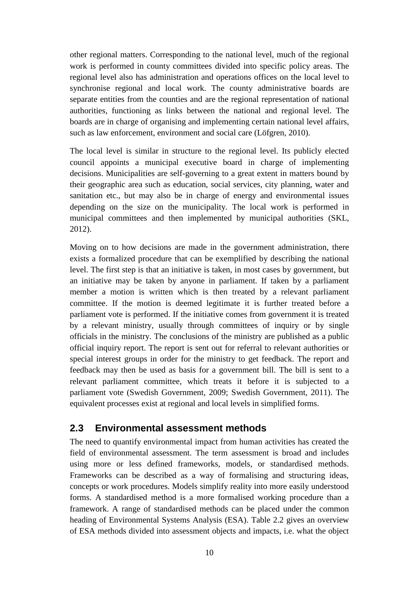other regional matters. Corresponding to the national level, much of the regional work is performed in county committees divided into specific policy areas. The regional level also has administration and operations offices on the local level to synchronise regional and local work. The county administrative boards are separate entities from the counties and are the regional representation of national authorities, functioning as links between the national and regional level. The boards are in charge of organising and implementing certain national level affairs, such as law enforcement, environment and social care (Löfgren, 2010).

The local level is similar in structure to the regional level. Its publicly elected council appoints a municipal executive board in charge of implementing decisions. Municipalities are self-governing to a great extent in matters bound by their geographic area such as education, social services, city planning, water and sanitation etc., but may also be in charge of energy and environmental issues depending on the size on the municipality. The local work is performed in municipal committees and then implemented by municipal authorities (SKL, 2012).

Moving on to how decisions are made in the government administration, there exists a formalized procedure that can be exemplified by describing the national level. The first step is that an initiative is taken, in most cases by government, but an initiative may be taken by anyone in parliament. If taken by a parliament member a motion is written which is then treated by a relevant parliament committee. If the motion is deemed legitimate it is further treated before a parliament vote is performed. If the initiative comes from government it is treated by a relevant ministry, usually through committees of inquiry or by single officials in the ministry. The conclusions of the ministry are published as a public official inquiry report. The report is sent out for referral to relevant authorities or special interest groups in order for the ministry to get feedback. The report and feedback may then be used as basis for a government bill. The bill is sent to a relevant parliament committee, which treats it before it is subjected to a parliament vote (Swedish Government, 2009; Swedish Government, 2011). The equivalent processes exist at regional and local levels in simplified forms.

# <span id="page-20-0"></span>**2.3 Environmental assessment methods**

The need to quantify environmental impact from human activities has created the field of environmental assessment. The term assessment is broad and includes using more or less defined frameworks, models, or standardised methods. Frameworks can be described as a way of formalising and structuring ideas, concepts or work procedures. Models simplify reality into more easily understood forms. A standardised method is a more formalised working procedure than a framework. A range of standardised methods can be placed under the common heading of Environmental Systems Analysis (ESA). Table 2.2 gives an overview of ESA methods divided into assessment objects and impacts, i.e. what the object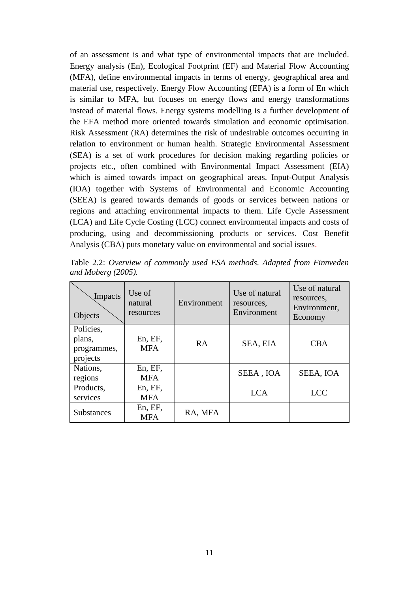of an assessment is and what type of environmental impacts that are included. Energy analysis (En), Ecological Footprint (EF) and Material Flow Accounting (MFA), define environmental impacts in terms of energy, geographical area and material use, respectively. Energy Flow Accounting (EFA) is a form of En which is similar to MFA, but focuses on energy flows and energy transformations instead of material flows. Energy systems modelling is a further development of the EFA method more oriented towards simulation and economic optimisation. Risk Assessment (RA) determines the risk of undesirable outcomes occurring in relation to environment or human health. Strategic Environmental Assessment (SEA) is a set of work procedures for decision making regarding policies or projects etc., often combined with Environmental Impact Assessment (EIA) which is aimed towards impact on geographical areas. Input-Output Analysis (IOA) together with Systems of Environmental and Economic Accounting (SEEA) is geared towards demands of goods or services between nations or regions and attaching environmental impacts to them. Life Cycle Assessment (LCA) and Life Cycle Costing (LCC) connect environmental impacts and costs of producing, using and decommissioning products or services. Cost Benefit Analysis (CBA) puts monetary value on environmental and social issues.

| Impacts<br>Objects                             | Use of<br>natural<br>resources | Environment | Use of natural<br>resources.<br>Environment | Use of natural<br>resources.<br>Environment,<br>Economy |
|------------------------------------------------|--------------------------------|-------------|---------------------------------------------|---------------------------------------------------------|
| Policies,<br>plans,<br>programmes,<br>projects | En, EF,<br><b>MFA</b>          | RA          | SEA, EIA                                    | <b>CBA</b>                                              |
| Nations,<br>regions                            | En, EF,<br><b>MFA</b>          |             | SEEA, IOA                                   | SEEA, IOA                                               |
| Products,<br>services                          | En, EF,<br><b>MFA</b>          |             | <b>LCA</b>                                  | <b>LCC</b>                                              |
| <b>Substances</b>                              | En, EF,<br><b>MFA</b>          | RA, MFA     |                                             |                                                         |

Table 2.2: *Overview of commonly used ESA methods. Adapted from Finnveden and Moberg (2005).*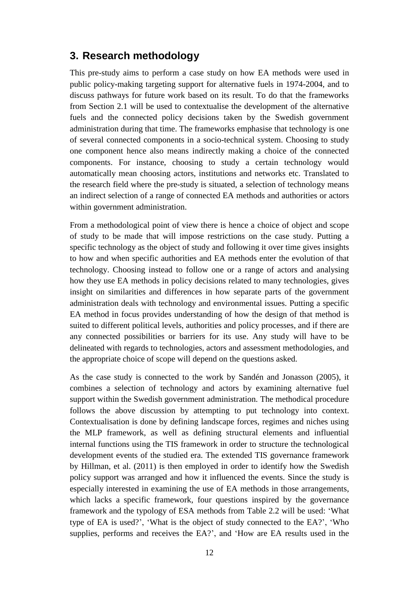#### <span id="page-22-0"></span>**3. Research methodology**

This pre-study aims to perform a case study on how EA methods were used in public policy-making targeting support for alternative fuels in 1974-2004, and to discuss pathways for future work based on its result. To do that the frameworks from Section 2.1 will be used to contextualise the development of the alternative fuels and the connected policy decisions taken by the Swedish government administration during that time. The frameworks emphasise that technology is one of several connected components in a socio-technical system. Choosing to study one component hence also means indirectly making a choice of the connected components. For instance, choosing to study a certain technology would automatically mean choosing actors, institutions and networks etc. Translated to the research field where the pre-study is situated, a selection of technology means an indirect selection of a range of connected EA methods and authorities or actors within government administration.

From a methodological point of view there is hence a choice of object and scope of study to be made that will impose restrictions on the case study. Putting a specific technology as the object of study and following it over time gives insights to how and when specific authorities and EA methods enter the evolution of that technology. Choosing instead to follow one or a range of actors and analysing how they use EA methods in policy decisions related to many technologies, gives insight on similarities and differences in how separate parts of the government administration deals with technology and environmental issues. Putting a specific EA method in focus provides understanding of how the design of that method is suited to different political levels, authorities and policy processes, and if there are any connected possibilities or barriers for its use. Any study will have to be delineated with regards to technologies, actors and assessment methodologies, and the appropriate choice of scope will depend on the questions asked.

As the case study is connected to the work by Sandén and Jonasson (2005), it combines a selection of technology and actors by examining alternative fuel support within the Swedish government administration. The methodical procedure follows the above discussion by attempting to put technology into context. Contextualisation is done by defining landscape forces, regimes and niches using the MLP framework, as well as defining structural elements and influential internal functions using the TIS framework in order to structure the technological development events of the studied era. The extended TIS governance framework by Hillman, et al. (2011) is then employed in order to identify how the Swedish policy support was arranged and how it influenced the events. Since the study is especially interested in examining the use of EA methods in those arrangements, which lacks a specific framework, four questions inspired by the governance framework and the typology of ESA methods from Table 2.2 will be used: 'What type of EA is used?', 'What is the object of study connected to the EA?', 'Who supplies, performs and receives the EA?', and 'How are EA results used in the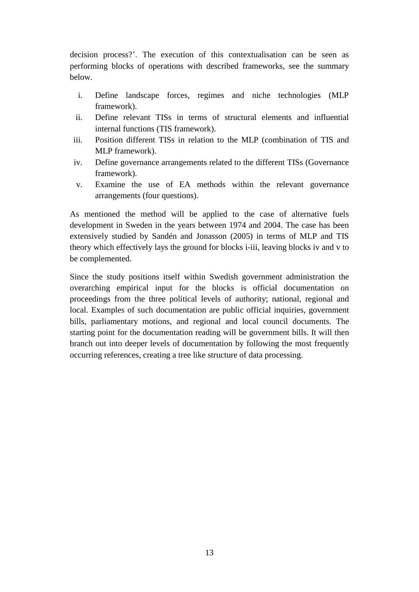decision process?'. The execution of this contextualisation can be seen as performing blocks of operations with described frameworks, see the summary below.

- i. Define landscape forces, regimes and niche technologies (MLP framework).
- ii. Define relevant TISs in terms of structural elements and influential internal functions (TIS framework).
- iii. Position different TISs in relation to the MLP (combination of TIS and MLP framework).
- iv. Define governance arrangements related to the different TISs (Governance framework).
- v. Examine the use of EA methods within the relevant governance arrangements (four questions).

As mentioned the method will be applied to the case of alternative fuels development in Sweden in the years between 1974 and 2004. The case has been extensively studied by Sandén and Jonasson (2005) in terms of MLP and TIS theory which effectively lays the ground for blocks i-iii, leaving blocks iv and v to be complemented.

Since the study positions itself within Swedish government administration the overarching empirical input for the blocks is official documentation on proceedings from the three political levels of authority; national, regional and local. Examples of such documentation are public official inquiries, government bills, parliamentary motions, and regional and local council documents. The starting point for the documentation reading will be government bills. It will then branch out into deeper levels of documentation by following the most frequently occurring references, creating a tree like structure of data processing.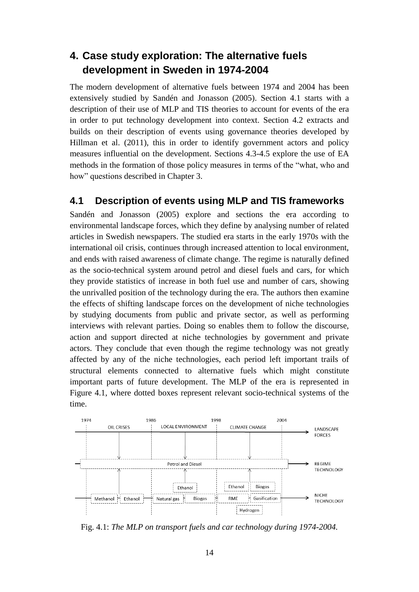# <span id="page-24-0"></span>**4. Case study exploration: The alternative fuels development in Sweden in 1974-2004**

The modern development of alternative fuels between 1974 and 2004 has been extensively studied by Sandén and Jonasson (2005). Section 4.1 starts with a description of their use of MLP and TIS theories to account for events of the era in order to put technology development into context. Section 4.2 extracts and builds on their description of events using governance theories developed by Hillman et al. (2011), this in order to identify government actors and policy measures influential on the development. Sections 4.3-4.5 explore the use of EA methods in the formation of those policy measures in terms of the "what, who and how" questions described in Chapter 3.

#### <span id="page-24-1"></span>**4.1 Description of events using MLP and TIS frameworks**

Sandén and Jonasson (2005) explore and sections the era according to environmental landscape forces, which they define by analysing number of related articles in Swedish newspapers. The studied era starts in the early 1970s with the international oil crisis, continues through increased attention to local environment, and ends with raised awareness of climate change. The regime is naturally defined as the socio-technical system around petrol and diesel fuels and cars, for which they provide statistics of increase in both fuel use and number of cars, showing the unrivalled position of the technology during the era. The authors then examine the effects of shifting landscape forces on the development of niche technologies by studying documents from public and private sector, as well as performing interviews with relevant parties. Doing so enables them to follow the discourse, action and support directed at niche technologies by government and private actors. They conclude that even though the regime technology was not greatly affected by any of the niche technologies, each period left important trails of structural elements connected to alternative fuels which might constitute important parts of future development. The MLP of the era is represented in Figure 4.1, where dotted boxes represent relevant socio-technical systems of the time.



Fig. 4.1: *The MLP on transport fuels and car technology during 1974-2004.*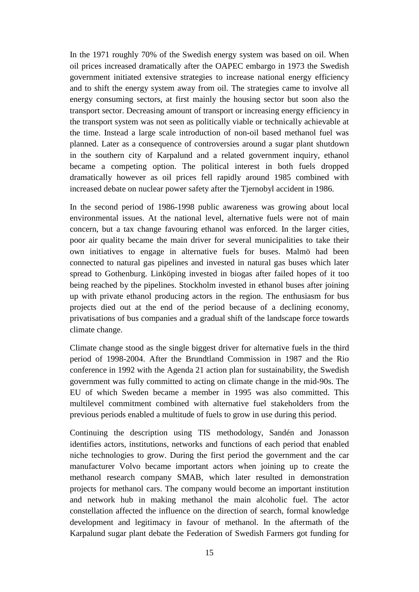In the 1971 roughly 70% of the Swedish energy system was based on oil. When oil prices increased dramatically after the OAPEC embargo in 1973 the Swedish government initiated extensive strategies to increase national energy efficiency and to shift the energy system away from oil. The strategies came to involve all energy consuming sectors, at first mainly the housing sector but soon also the transport sector. Decreasing amount of transport or increasing energy efficiency in the transport system was not seen as politically viable or technically achievable at the time. Instead a large scale introduction of non-oil based methanol fuel was planned. Later as a consequence of controversies around a sugar plant shutdown in the southern city of Karpalund and a related government inquiry, ethanol became a competing option. The political interest in both fuels dropped dramatically however as oil prices fell rapidly around 1985 combined with increased debate on nuclear power safety after the Tjernobyl accident in 1986.

In the second period of 1986-1998 public awareness was growing about local environmental issues. At the national level, alternative fuels were not of main concern, but a tax change favouring ethanol was enforced. In the larger cities, poor air quality became the main driver for several municipalities to take their own initiatives to engage in alternative fuels for buses. Malmö had been connected to natural gas pipelines and invested in natural gas buses which later spread to Gothenburg. Linköping invested in biogas after failed hopes of it too being reached by the pipelines. Stockholm invested in ethanol buses after joining up with private ethanol producing actors in the region. The enthusiasm for bus projects died out at the end of the period because of a declining economy, privatisations of bus companies and a gradual shift of the landscape force towards climate change.

Climate change stood as the single biggest driver for alternative fuels in the third period of 1998-2004. After the Brundtland Commission in 1987 and the Rio conference in 1992 with the Agenda 21 action plan for sustainability, the Swedish government was fully committed to acting on climate change in the mid-90s. The EU of which Sweden became a member in 1995 was also committed. This multilevel commitment combined with alternative fuel stakeholders from the previous periods enabled a multitude of fuels to grow in use during this period.

Continuing the description using TIS methodology, Sandén and Jonasson identifies actors, institutions, networks and functions of each period that enabled niche technologies to grow. During the first period the government and the car manufacturer Volvo became important actors when joining up to create the methanol research company SMAB, which later resulted in demonstration projects for methanol cars. The company would become an important institution and network hub in making methanol the main alcoholic fuel. The actor constellation affected the influence on the direction of search, formal knowledge development and legitimacy in favour of methanol. In the aftermath of the Karpalund sugar plant debate the Federation of Swedish Farmers got funding for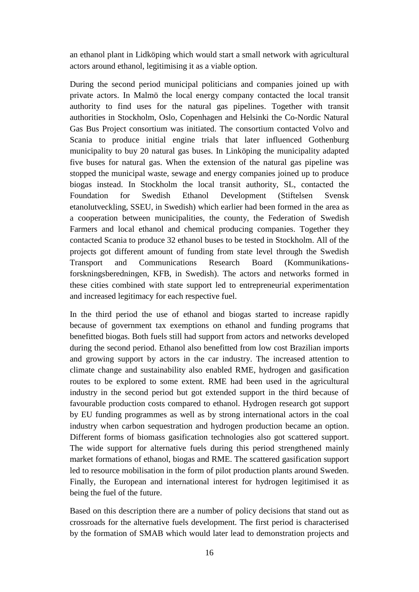an ethanol plant in Lidköping which would start a small network with agricultural actors around ethanol, legitimising it as a viable option.

During the second period municipal politicians and companies joined up with private actors. In Malmö the local energy company contacted the local transit authority to find uses for the natural gas pipelines. Together with transit authorities in Stockholm, Oslo, Copenhagen and Helsinki the Co-Nordic Natural Gas Bus Project consortium was initiated. The consortium contacted Volvo and Scania to produce initial engine trials that later influenced Gothenburg municipality to buy 20 natural gas buses. In Linköping the municipality adapted five buses for natural gas. When the extension of the natural gas pipeline was stopped the municipal waste, sewage and energy companies joined up to produce biogas instead. In Stockholm the local transit authority, SL, contacted the Foundation for Swedish Ethanol Development (Stiftelsen Svensk etanolutveckling, SSEU, in Swedish) which earlier had been formed in the area as a cooperation between municipalities, the county, the Federation of Swedish Farmers and local ethanol and chemical producing companies. Together they contacted Scania to produce 32 ethanol buses to be tested in Stockholm. All of the projects got different amount of funding from state level through the Swedish Transport and Communications Research Board (Kommunikationsforskningsberedningen, KFB, in Swedish). The actors and networks formed in these cities combined with state support led to entrepreneurial experimentation and increased legitimacy for each respective fuel.

In the third period the use of ethanol and biogas started to increase rapidly because of government tax exemptions on ethanol and funding programs that benefitted biogas. Both fuels still had support from actors and networks developed during the second period. Ethanol also benefitted from low cost Brazilian imports and growing support by actors in the car industry. The increased attention to climate change and sustainability also enabled RME, hydrogen and gasification routes to be explored to some extent. RME had been used in the agricultural industry in the second period but got extended support in the third because of favourable production costs compared to ethanol. Hydrogen research got support by EU funding programmes as well as by strong international actors in the coal industry when carbon sequestration and hydrogen production became an option. Different forms of biomass gasification technologies also got scattered support. The wide support for alternative fuels during this period strengthened mainly market formations of ethanol, biogas and RME. The scattered gasification support led to resource mobilisation in the form of pilot production plants around Sweden. Finally, the European and international interest for hydrogen legitimised it as being the fuel of the future.

Based on this description there are a number of policy decisions that stand out as crossroads for the alternative fuels development. The first period is characterised by the formation of SMAB which would later lead to demonstration projects and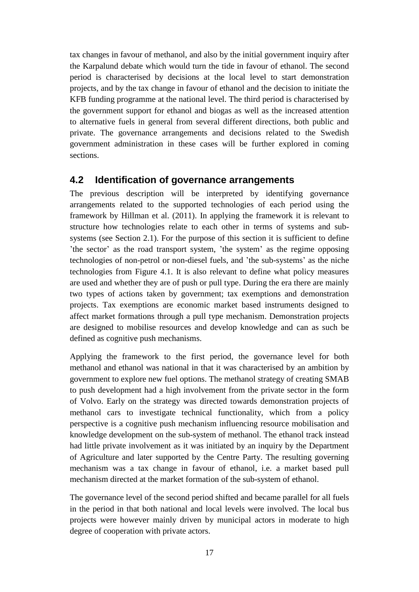tax changes in favour of methanol, and also by the initial government inquiry after the Karpalund debate which would turn the tide in favour of ethanol. The second period is characterised by decisions at the local level to start demonstration projects, and by the tax change in favour of ethanol and the decision to initiate the KFB funding programme at the national level. The third period is characterised by the government support for ethanol and biogas as well as the increased attention to alternative fuels in general from several different directions, both public and private. The governance arrangements and decisions related to the Swedish government administration in these cases will be further explored in coming sections.

#### <span id="page-27-0"></span>**4.2 Identification of governance arrangements**

The previous description will be interpreted by identifying governance arrangements related to the supported technologies of each period using the framework by Hillman et al. (2011). In applying the framework it is relevant to structure how technologies relate to each other in terms of systems and subsystems (see Section 2.1). For the purpose of this section it is sufficient to define 'the sector' as the road transport system, 'the system' as the regime opposing technologies of non-petrol or non-diesel fuels, and 'the sub-systems' as the niche technologies from Figure 4.1. It is also relevant to define what policy measures are used and whether they are of push or pull type. During the era there are mainly two types of actions taken by government; tax exemptions and demonstration projects. Tax exemptions are economic market based instruments designed to affect market formations through a pull type mechanism. Demonstration projects are designed to mobilise resources and develop knowledge and can as such be defined as cognitive push mechanisms.

Applying the framework to the first period, the governance level for both methanol and ethanol was national in that it was characterised by an ambition by government to explore new fuel options. The methanol strategy of creating SMAB to push development had a high involvement from the private sector in the form of Volvo. Early on the strategy was directed towards demonstration projects of methanol cars to investigate technical functionality, which from a policy perspective is a cognitive push mechanism influencing resource mobilisation and knowledge development on the sub-system of methanol. The ethanol track instead had little private involvement as it was initiated by an inquiry by the Department of Agriculture and later supported by the Centre Party. The resulting governing mechanism was a tax change in favour of ethanol, i.e. a market based pull mechanism directed at the market formation of the sub-system of ethanol.

The governance level of the second period shifted and became parallel for all fuels in the period in that both national and local levels were involved. The local bus projects were however mainly driven by municipal actors in moderate to high degree of cooperation with private actors.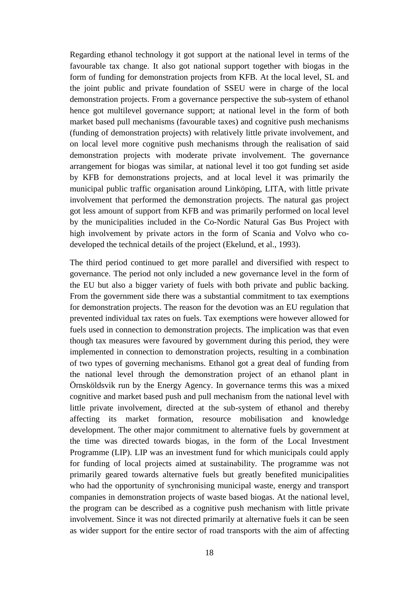Regarding ethanol technology it got support at the national level in terms of the favourable tax change. It also got national support together with biogas in the form of funding for demonstration projects from KFB. At the local level, SL and the joint public and private foundation of SSEU were in charge of the local demonstration projects. From a governance perspective the sub-system of ethanol hence got multilevel governance support; at national level in the form of both market based pull mechanisms (favourable taxes) and cognitive push mechanisms (funding of demonstration projects) with relatively little private involvement, and on local level more cognitive push mechanisms through the realisation of said demonstration projects with moderate private involvement. The governance arrangement for biogas was similar, at national level it too got funding set aside by KFB for demonstrations projects, and at local level it was primarily the municipal public traffic organisation around Linköping, LITA, with little private involvement that performed the demonstration projects. The natural gas project got less amount of support from KFB and was primarily performed on local level by the municipalities included in the Co-Nordic Natural Gas Bus Project with high involvement by private actors in the form of Scania and Volvo who codeveloped the technical details of the project (Ekelund, et al., 1993).

The third period continued to get more parallel and diversified with respect to governance. The period not only included a new governance level in the form of the EU but also a bigger variety of fuels with both private and public backing. From the government side there was a substantial commitment to tax exemptions for demonstration projects. The reason for the devotion was an EU regulation that prevented individual tax rates on fuels. Tax exemptions were however allowed for fuels used in connection to demonstration projects. The implication was that even though tax measures were favoured by government during this period, they were implemented in connection to demonstration projects, resulting in a combination of two types of governing mechanisms. Ethanol got a great deal of funding from the national level through the demonstration project of an ethanol plant in Örnsköldsvik run by the Energy Agency. In governance terms this was a mixed cognitive and market based push and pull mechanism from the national level with little private involvement, directed at the sub-system of ethanol and thereby affecting its market formation, resource mobilisation and knowledge development. The other major commitment to alternative fuels by government at the time was directed towards biogas, in the form of the Local Investment Programme (LIP). LIP was an investment fund for which municipals could apply for funding of local projects aimed at sustainability. The programme was not primarily geared towards alternative fuels but greatly benefited municipalities who had the opportunity of synchronising municipal waste, energy and transport companies in demonstration projects of waste based biogas. At the national level, the program can be described as a cognitive push mechanism with little private involvement. Since it was not directed primarily at alternative fuels it can be seen as wider support for the entire sector of road transports with the aim of affecting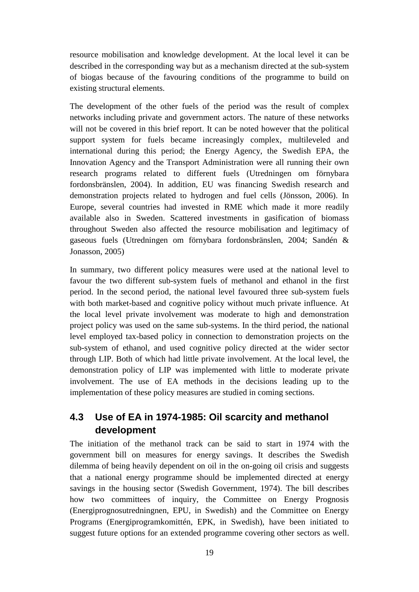resource mobilisation and knowledge development. At the local level it can be described in the corresponding way but as a mechanism directed at the sub-system of biogas because of the favouring conditions of the programme to build on existing structural elements.

The development of the other fuels of the period was the result of complex networks including private and government actors. The nature of these networks will not be covered in this brief report. It can be noted however that the political support system for fuels became increasingly complex, multileveled and international during this period; the Energy Agency, the Swedish EPA, the Innovation Agency and the Transport Administration were all running their own research programs related to different fuels (Utredningen om förnybara fordonsbränslen, 2004). In addition, EU was financing Swedish research and demonstration projects related to hydrogen and fuel cells (Jönsson, 2006). In Europe, several countries had invested in RME which made it more readily available also in Sweden. Scattered investments in gasification of biomass throughout Sweden also affected the resource mobilisation and legitimacy of gaseous fuels (Utredningen om förnybara fordonsbränslen, 2004; Sandén & Jonasson, 2005)

In summary, two different policy measures were used at the national level to favour the two different sub-system fuels of methanol and ethanol in the first period. In the second period, the national level favoured three sub-system fuels with both market-based and cognitive policy without much private influence. At the local level private involvement was moderate to high and demonstration project policy was used on the same sub-systems. In the third period, the national level employed tax-based policy in connection to demonstration projects on the sub-system of ethanol, and used cognitive policy directed at the wider sector through LIP. Both of which had little private involvement. At the local level, the demonstration policy of LIP was implemented with little to moderate private involvement. The use of EA methods in the decisions leading up to the implementation of these policy measures are studied in coming sections.

# <span id="page-29-0"></span>**4.3 Use of EA in 1974-1985: Oil scarcity and methanol development**

The initiation of the methanol track can be said to start in 1974 with the government bill on measures for energy savings. It describes the Swedish dilemma of being heavily dependent on oil in the on-going oil crisis and suggests that a national energy programme should be implemented directed at energy savings in the housing sector (Swedish Government, 1974). The bill describes how two committees of inquiry, the Committee on Energy Prognosis (Energiprognosutredningnen, EPU, in Swedish) and the Committee on Energy Programs (Energiprogramkomittén, EPK, in Swedish), have been initiated to suggest future options for an extended programme covering other sectors as well.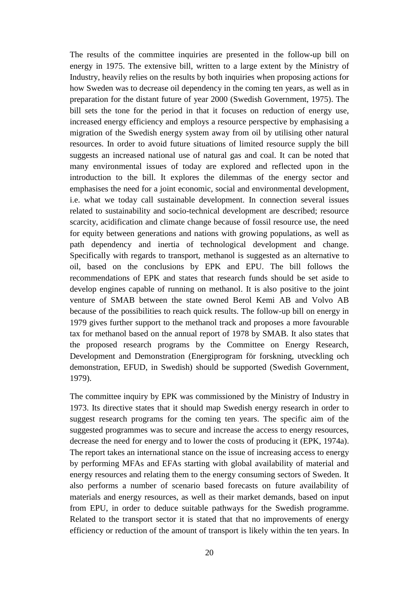The results of the committee inquiries are presented in the follow-up bill on energy in 1975. The extensive bill, written to a large extent by the Ministry of Industry, heavily relies on the results by both inquiries when proposing actions for how Sweden was to decrease oil dependency in the coming ten years, as well as in preparation for the distant future of year 2000 (Swedish Government, 1975). The bill sets the tone for the period in that it focuses on reduction of energy use, increased energy efficiency and employs a resource perspective by emphasising a migration of the Swedish energy system away from oil by utilising other natural resources. In order to avoid future situations of limited resource supply the bill suggests an increased national use of natural gas and coal. It can be noted that many environmental issues of today are explored and reflected upon in the introduction to the bill. It explores the dilemmas of the energy sector and emphasises the need for a joint economic, social and environmental development, i.e. what we today call sustainable development. In connection several issues related to sustainability and socio-technical development are described; resource scarcity, acidification and climate change because of fossil resource use, the need for equity between generations and nations with growing populations, as well as path dependency and inertia of technological development and change. Specifically with regards to transport, methanol is suggested as an alternative to oil, based on the conclusions by EPK and EPU. The bill follows the recommendations of EPK and states that research funds should be set aside to develop engines capable of running on methanol. It is also positive to the joint venture of SMAB between the state owned Berol Kemi AB and Volvo AB because of the possibilities to reach quick results. The follow-up bill on energy in 1979 gives further support to the methanol track and proposes a more favourable tax for methanol based on the annual report of 1978 by SMAB. It also states that the proposed research programs by the Committee on Energy Research, Development and Demonstration (Energiprogram för forskning, utveckling och demonstration, EFUD, in Swedish) should be supported (Swedish Government, 1979).

The committee inquiry by EPK was commissioned by the Ministry of Industry in 1973. Its directive states that it should map Swedish energy research in order to suggest research programs for the coming ten years. The specific aim of the suggested programmes was to secure and increase the access to energy resources, decrease the need for energy and to lower the costs of producing it (EPK, 1974a). The report takes an international stance on the issue of increasing access to energy by performing MFAs and EFAs starting with global availability of material and energy resources and relating them to the energy consuming sectors of Sweden. It also performs a number of scenario based forecasts on future availability of materials and energy resources, as well as their market demands, based on input from EPU, in order to deduce suitable pathways for the Swedish programme. Related to the transport sector it is stated that that no improvements of energy efficiency or reduction of the amount of transport is likely within the ten years. In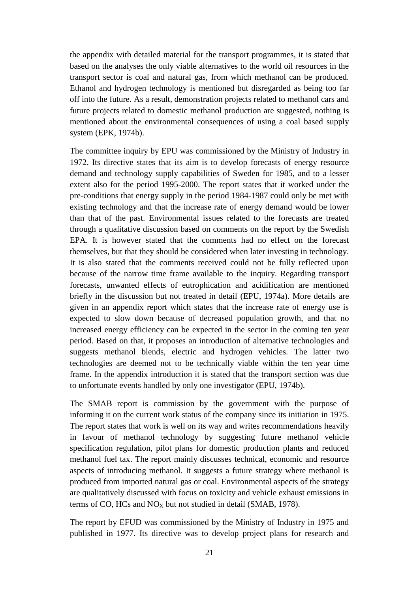the appendix with detailed material for the transport programmes, it is stated that based on the analyses the only viable alternatives to the world oil resources in the transport sector is coal and natural gas, from which methanol can be produced. Ethanol and hydrogen technology is mentioned but disregarded as being too far off into the future. As a result, demonstration projects related to methanol cars and future projects related to domestic methanol production are suggested, nothing is mentioned about the environmental consequences of using a coal based supply system (EPK, 1974b).

The committee inquiry by EPU was commissioned by the Ministry of Industry in 1972. Its directive states that its aim is to develop forecasts of energy resource demand and technology supply capabilities of Sweden for 1985, and to a lesser extent also for the period 1995-2000. The report states that it worked under the pre-conditions that energy supply in the period 1984-1987 could only be met with existing technology and that the increase rate of energy demand would be lower than that of the past. Environmental issues related to the forecasts are treated through a qualitative discussion based on comments on the report by the Swedish EPA. It is however stated that the comments had no effect on the forecast themselves, but that they should be considered when later investing in technology. It is also stated that the comments received could not be fully reflected upon because of the narrow time frame available to the inquiry. Regarding transport forecasts, unwanted effects of eutrophication and acidification are mentioned briefly in the discussion but not treated in detail (EPU, 1974a). More details are given in an appendix report which states that the increase rate of energy use is expected to slow down because of decreased population growth, and that no increased energy efficiency can be expected in the sector in the coming ten year period. Based on that, it proposes an introduction of alternative technologies and suggests methanol blends, electric and hydrogen vehicles. The latter two technologies are deemed not to be technically viable within the ten year time frame. In the appendix introduction it is stated that the transport section was due to unfortunate events handled by only one investigator (EPU, 1974b).

The SMAB report is commission by the government with the purpose of informing it on the current work status of the company since its initiation in 1975. The report states that work is well on its way and writes recommendations heavily in favour of methanol technology by suggesting future methanol vehicle specification regulation, pilot plans for domestic production plants and reduced methanol fuel tax. The report mainly discusses technical, economic and resource aspects of introducing methanol. It suggests a future strategy where methanol is produced from imported natural gas or coal. Environmental aspects of the strategy are qualitatively discussed with focus on toxicity and vehicle exhaust emissions in terms of CO, HCs and  $NO<sub>X</sub>$  but not studied in detail (SMAB, 1978).

The report by EFUD was commissioned by the Ministry of Industry in 1975 and published in 1977. Its directive was to develop project plans for research and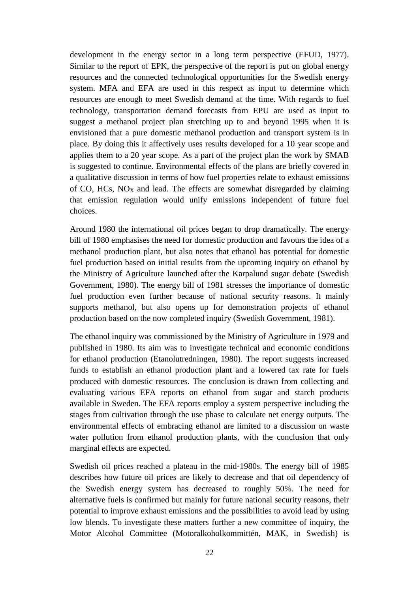development in the energy sector in a long term perspective (EFUD, 1977). Similar to the report of EPK, the perspective of the report is put on global energy resources and the connected technological opportunities for the Swedish energy system. MFA and EFA are used in this respect as input to determine which resources are enough to meet Swedish demand at the time. With regards to fuel technology, transportation demand forecasts from EPU are used as input to suggest a methanol project plan stretching up to and beyond 1995 when it is envisioned that a pure domestic methanol production and transport system is in place. By doing this it affectively uses results developed for a 10 year scope and applies them to a 20 year scope. As a part of the project plan the work by SMAB is suggested to continue. Environmental effects of the plans are briefly covered in a qualitative discussion in terms of how fuel properties relate to exhaust emissions of CO, HCs,  $NO<sub>X</sub>$  and lead. The effects are somewhat disregarded by claiming that emission regulation would unify emissions independent of future fuel choices.

Around 1980 the international oil prices began to drop dramatically. The energy bill of 1980 emphasises the need for domestic production and favours the idea of a methanol production plant, but also notes that ethanol has potential for domestic fuel production based on initial results from the upcoming inquiry on ethanol by the Ministry of Agriculture launched after the Karpalund sugar debate (Swedish Government, 1980). The energy bill of 1981 stresses the importance of domestic fuel production even further because of national security reasons. It mainly supports methanol, but also opens up for demonstration projects of ethanol production based on the now completed inquiry (Swedish Government, 1981).

The ethanol inquiry was commissioned by the Ministry of Agriculture in 1979 and published in 1980. Its aim was to investigate technical and economic conditions for ethanol production (Etanolutredningen, 1980). The report suggests increased funds to establish an ethanol production plant and a lowered tax rate for fuels produced with domestic resources. The conclusion is drawn from collecting and evaluating various EFA reports on ethanol from sugar and starch products available in Sweden. The EFA reports employ a system perspective including the stages from cultivation through the use phase to calculate net energy outputs. The environmental effects of embracing ethanol are limited to a discussion on waste water pollution from ethanol production plants, with the conclusion that only marginal effects are expected.

Swedish oil prices reached a plateau in the mid-1980s. The energy bill of 1985 describes how future oil prices are likely to decrease and that oil dependency of the Swedish energy system has decreased to roughly 50%. The need for alternative fuels is confirmed but mainly for future national security reasons, their potential to improve exhaust emissions and the possibilities to avoid lead by using low blends. To investigate these matters further a new committee of inquiry, the Motor Alcohol Committee (Motoralkoholkommittén, MAK, in Swedish) is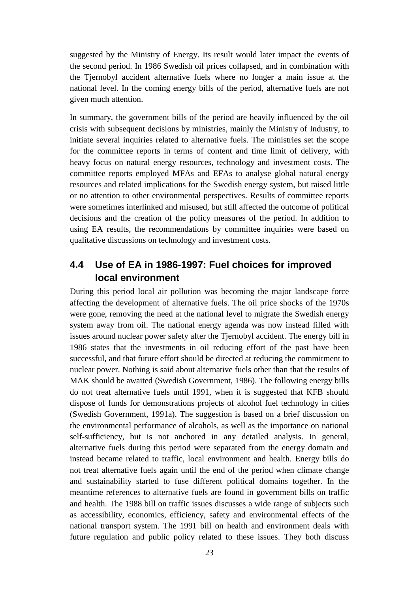suggested by the Ministry of Energy. Its result would later impact the events of the second period. In 1986 Swedish oil prices collapsed, and in combination with the Tjernobyl accident alternative fuels where no longer a main issue at the national level. In the coming energy bills of the period, alternative fuels are not given much attention.

In summary, the government bills of the period are heavily influenced by the oil crisis with subsequent decisions by ministries, mainly the Ministry of Industry, to initiate several inquiries related to alternative fuels. The ministries set the scope for the committee reports in terms of content and time limit of delivery, with heavy focus on natural energy resources, technology and investment costs. The committee reports employed MFAs and EFAs to analyse global natural energy resources and related implications for the Swedish energy system, but raised little or no attention to other environmental perspectives. Results of committee reports were sometimes interlinked and misused, but still affected the outcome of political decisions and the creation of the policy measures of the period. In addition to using EA results, the recommendations by committee inquiries were based on qualitative discussions on technology and investment costs.

# <span id="page-33-0"></span>**4.4 Use of EA in 1986-1997: Fuel choices for improved local environment**

During this period local air pollution was becoming the major landscape force affecting the development of alternative fuels. The oil price shocks of the 1970s were gone, removing the need at the national level to migrate the Swedish energy system away from oil. The national energy agenda was now instead filled with issues around nuclear power safety after the Tjernobyl accident. The energy bill in 1986 states that the investments in oil reducing effort of the past have been successful, and that future effort should be directed at reducing the commitment to nuclear power. Nothing is said about alternative fuels other than that the results of MAK should be awaited (Swedish Government, 1986). The following energy bills do not treat alternative fuels until 1991, when it is suggested that KFB should dispose of funds for demonstrations projects of alcohol fuel technology in cities (Swedish Government, 1991a). The suggestion is based on a brief discussion on the environmental performance of alcohols, as well as the importance on national self-sufficiency, but is not anchored in any detailed analysis. In general, alternative fuels during this period were separated from the energy domain and instead became related to traffic, local environment and health. Energy bills do not treat alternative fuels again until the end of the period when climate change and sustainability started to fuse different political domains together. In the meantime references to alternative fuels are found in government bills on traffic and health. The 1988 bill on traffic issues discusses a wide range of subjects such as accessibility, economics, efficiency, safety and environmental effects of the national transport system. The 1991 bill on health and environment deals with future regulation and public policy related to these issues. They both discuss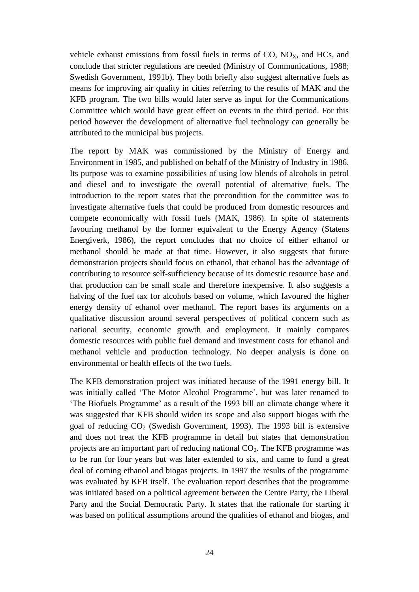vehicle exhaust emissions from fossil fuels in terms of  $CO$ ,  $NO<sub>x</sub>$ , and  $HCs$ , and conclude that stricter regulations are needed (Ministry of Communications, 1988; Swedish Government, 1991b). They both briefly also suggest alternative fuels as means for improving air quality in cities referring to the results of MAK and the KFB program. The two bills would later serve as input for the Communications Committee which would have great effect on events in the third period. For this period however the development of alternative fuel technology can generally be attributed to the municipal bus projects.

The report by MAK was commissioned by the Ministry of Energy and Environment in 1985, and published on behalf of the Ministry of Industry in 1986. Its purpose was to examine possibilities of using low blends of alcohols in petrol and diesel and to investigate the overall potential of alternative fuels. The introduction to the report states that the precondition for the committee was to investigate alternative fuels that could be produced from domestic resources and compete economically with fossil fuels (MAK, 1986). In spite of statements favouring methanol by the former equivalent to the Energy Agency (Statens Energiverk, 1986), the report concludes that no choice of either ethanol or methanol should be made at that time. However, it also suggests that future demonstration projects should focus on ethanol, that ethanol has the advantage of contributing to resource self-sufficiency because of its domestic resource base and that production can be small scale and therefore inexpensive. It also suggests a halving of the fuel tax for alcohols based on volume, which favoured the higher energy density of ethanol over methanol. The report bases its arguments on a qualitative discussion around several perspectives of political concern such as national security, economic growth and employment. It mainly compares domestic resources with public fuel demand and investment costs for ethanol and methanol vehicle and production technology. No deeper analysis is done on environmental or health effects of the two fuels.

The KFB demonstration project was initiated because of the 1991 energy bill. It was initially called 'The Motor Alcohol Programme', but was later renamed to 'The Biofuels Programme' as a result of the 1993 bill on climate change where it was suggested that KFB should widen its scope and also support biogas with the goal of reducing  $CO<sub>2</sub>$  (Swedish Government, 1993). The 1993 bill is extensive and does not treat the KFB programme in detail but states that demonstration projects are an important part of reducing national  $CO<sub>2</sub>$ . The KFB programme was to be run for four years but was later extended to six, and came to fund a great deal of coming ethanol and biogas projects. In 1997 the results of the programme was evaluated by KFB itself. The evaluation report describes that the programme was initiated based on a political agreement between the Centre Party, the Liberal Party and the Social Democratic Party. It states that the rationale for starting it was based on political assumptions around the qualities of ethanol and biogas, and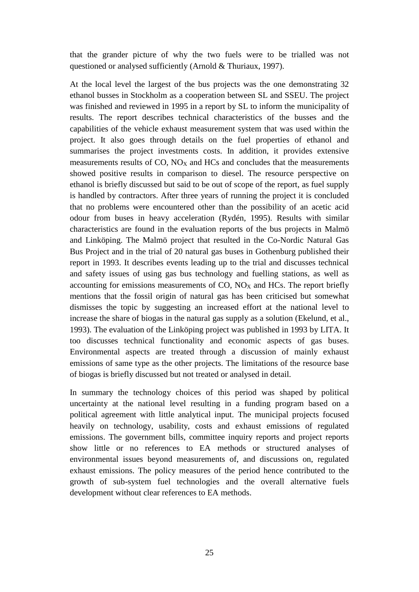that the grander picture of why the two fuels were to be trialled was not questioned or analysed sufficiently (Arnold & Thuriaux, 1997).

At the local level the largest of the bus projects was the one demonstrating 32 ethanol busses in Stockholm as a cooperation between SL and SSEU. The project was finished and reviewed in 1995 in a report by SL to inform the municipality of results. The report describes technical characteristics of the busses and the capabilities of the vehicle exhaust measurement system that was used within the project. It also goes through details on the fuel properties of ethanol and summarises the project investments costs. In addition, it provides extensive measurements results of  $CO$ ,  $NO<sub>X</sub>$  and HCs and concludes that the measurements showed positive results in comparison to diesel. The resource perspective on ethanol is briefly discussed but said to be out of scope of the report, as fuel supply is handled by contractors. After three years of running the project it is concluded that no problems were encountered other than the possibility of an acetic acid odour from buses in heavy acceleration (Rydén, 1995). Results with similar characteristics are found in the evaluation reports of the bus projects in Malmö and Linköping. The Malmö project that resulted in the Co-Nordic Natural Gas Bus Project and in the trial of 20 natural gas buses in Gothenburg published their report in 1993. It describes events leading up to the trial and discusses technical and safety issues of using gas bus technology and fuelling stations, as well as accounting for emissions measurements of  $CO$ ,  $NO<sub>X</sub>$  and  $HCs$ . The report briefly mentions that the fossil origin of natural gas has been criticised but somewhat dismisses the topic by suggesting an increased effort at the national level to increase the share of biogas in the natural gas supply as a solution (Ekelund, et al., 1993). The evaluation of the Linköping project was published in 1993 by LITA. It too discusses technical functionality and economic aspects of gas buses. Environmental aspects are treated through a discussion of mainly exhaust emissions of same type as the other projects. The limitations of the resource base of biogas is briefly discussed but not treated or analysed in detail.

In summary the technology choices of this period was shaped by political uncertainty at the national level resulting in a funding program based on a political agreement with little analytical input. The municipal projects focused heavily on technology, usability, costs and exhaust emissions of regulated emissions. The government bills, committee inquiry reports and project reports show little or no references to EA methods or structured analyses of environmental issues beyond measurements of, and discussions on, regulated exhaust emissions. The policy measures of the period hence contributed to the growth of sub-system fuel technologies and the overall alternative fuels development without clear references to EA methods.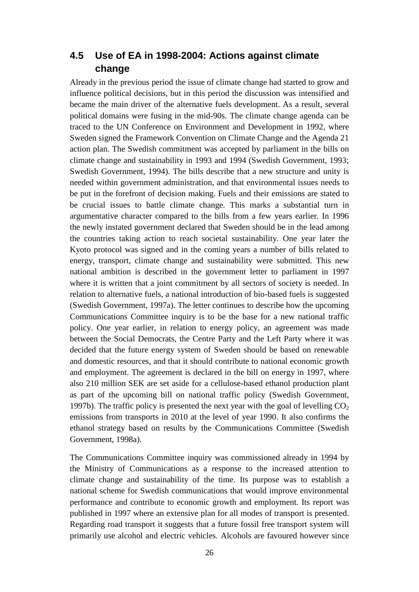#### <span id="page-36-0"></span>**4.5 Use of EA in 1998-2004: Actions against climate change**

Already in the previous period the issue of climate change had started to grow and influence political decisions, but in this period the discussion was intensified and became the main driver of the alternative fuels development. As a result, several political domains were fusing in the mid-90s. The climate change agenda can be traced to the UN Conference on Environment and Development in 1992, where Sweden signed the Framework Convention on Climate Change and the Agenda 21 action plan. The Swedish commitment was accepted by parliament in the bills on climate change and sustainability in 1993 and 1994 (Swedish Government, 1993; Swedish Government, 1994). The bills describe that a new structure and unity is needed within government administration, and that environmental issues needs to be put in the forefront of decision making. Fuels and their emissions are stated to be crucial issues to battle climate change. This marks a substantial turn in argumentative character compared to the bills from a few years earlier. In 1996 the newly instated government declared that Sweden should be in the lead among the countries taking action to reach societal sustainability. One year later the Kyoto protocol was signed and in the coming years a number of bills related to energy, transport, climate change and sustainability were submitted. This new national ambition is described in the government letter to parliament in 1997 where it is written that a joint commitment by all sectors of society is needed. In relation to alternative fuels, a national introduction of bio-based fuels is suggested (Swedish Government, 1997a). The letter continues to describe how the upcoming Communications Committee inquiry is to be the base for a new national traffic policy. One year earlier, in relation to energy policy, an agreement was made between the Social Democrats, the Centre Party and the Left Party where it was decided that the future energy system of Sweden should be based on renewable and domestic resources, and that it should contribute to national economic growth and employment. The agreement is declared in the bill on energy in 1997, where also 210 million SEK are set aside for a cellulose-based ethanol production plant as part of the upcoming bill on national traffic policy (Swedish Government, 1997b). The traffic policy is presented the next year with the goal of levelling  $CO<sub>2</sub>$ emissions from transports in 2010 at the level of year 1990. It also confirms the ethanol strategy based on results by the Communications Committee (Swedish Government, 1998a).

The Communications Committee inquiry was commissioned already in 1994 by the Ministry of Communications as a response to the increased attention to climate change and sustainability of the time. Its purpose was to establish a national scheme for Swedish communications that would improve environmental performance and contribute to economic growth and employment. Its report was published in 1997 where an extensive plan for all modes of transport is presented. Regarding road transport it suggests that a future fossil free transport system will primarily use alcohol and electric vehicles. Alcohols are favoured however since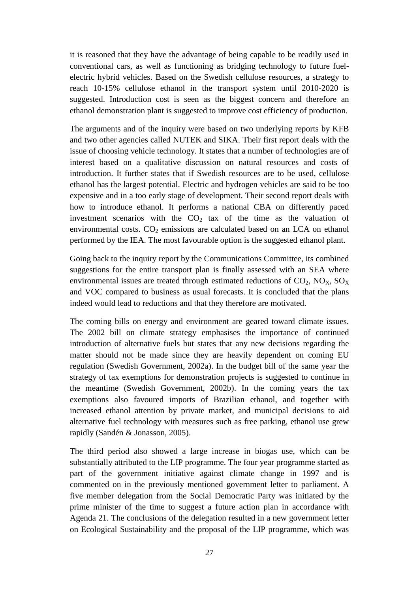it is reasoned that they have the advantage of being capable to be readily used in conventional cars, as well as functioning as bridging technology to future fuelelectric hybrid vehicles. Based on the Swedish cellulose resources, a strategy to reach 10-15% cellulose ethanol in the transport system until 2010-2020 is suggested. Introduction cost is seen as the biggest concern and therefore an ethanol demonstration plant is suggested to improve cost efficiency of production.

The arguments and of the inquiry were based on two underlying reports by KFB and two other agencies called NUTEK and SIKA. Their first report deals with the issue of choosing vehicle technology. It states that a number of technologies are of interest based on a qualitative discussion on natural resources and costs of introduction. It further states that if Swedish resources are to be used, cellulose ethanol has the largest potential. Electric and hydrogen vehicles are said to be too expensive and in a too early stage of development. Their second report deals with how to introduce ethanol. It performs a national CBA on differently paced investment scenarios with the  $CO<sub>2</sub>$  tax of the time as the valuation of environmental costs.  $CO<sub>2</sub>$  emissions are calculated based on an LCA on ethanol performed by the IEA. The most favourable option is the suggested ethanol plant.

Going back to the inquiry report by the Communications Committee, its combined suggestions for the entire transport plan is finally assessed with an SEA where environmental issues are treated through estimated reductions of  $CO<sub>2</sub>$ ,  $NO<sub>X</sub>$ ,  $SO<sub>X</sub>$ and VOC compared to business as usual forecasts. It is concluded that the plans indeed would lead to reductions and that they therefore are motivated.

The coming bills on energy and environment are geared toward climate issues. The 2002 bill on climate strategy emphasises the importance of continued introduction of alternative fuels but states that any new decisions regarding the matter should not be made since they are heavily dependent on coming EU regulation (Swedish Government, 2002a). In the budget bill of the same year the strategy of tax exemptions for demonstration projects is suggested to continue in the meantime (Swedish Government, 2002b). In the coming years the tax exemptions also favoured imports of Brazilian ethanol, and together with increased ethanol attention by private market, and municipal decisions to aid alternative fuel technology with measures such as free parking, ethanol use grew rapidly (Sandén & Jonasson, 2005).

The third period also showed a large increase in biogas use, which can be substantially attributed to the LIP programme. The four year programme started as part of the government initiative against climate change in 1997 and is commented on in the previously mentioned government letter to parliament. A five member delegation from the Social Democratic Party was initiated by the prime minister of the time to suggest a future action plan in accordance with Agenda 21. The conclusions of the delegation resulted in a new government letter on Ecological Sustainability and the proposal of the LIP programme, which was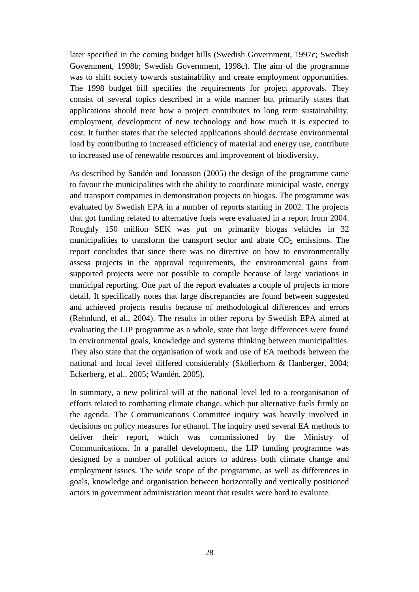later specified in the coming budget bills (Swedish Government, 1997c; Swedish Government, 1998b; Swedish Government, 1998c). The aim of the programme was to shift society towards sustainability and create employment opportunities. The 1998 budget bill specifies the requirements for project approvals. They consist of several topics described in a wide manner but primarily states that applications should treat how a project contributes to long term sustainability, employment, development of new technology and how much it is expected to cost. It further states that the selected applications should decrease environmental load by contributing to increased efficiency of material and energy use, contribute to increased use of renewable resources and improvement of biodiversity.

As described by Sandén and Jonasson (2005) the design of the programme came to favour the municipalities with the ability to coordinate municipal waste, energy and transport companies in demonstration projects on biogas. The programme was evaluated by Swedish EPA in a number of reports starting in 2002. The projects that got funding related to alternative fuels were evaluated in a report from 2004. Roughly 150 million SEK was put on primarily biogas vehicles in 32 municipalities to transform the transport sector and abate  $CO<sub>2</sub>$  emissions. The report concludes that since there was no directive on how to environmentally assess projects in the approval requirements, the environmental gains from supported projects were not possible to compile because of large variations in municipal reporting. One part of the report evaluates a couple of projects in more detail. It specifically notes that large discrepancies are found between suggested and achieved projects results because of methodological differences and errors (Rehnlund, et al., 2004). The results in other reports by Swedish EPA aimed at evaluating the LIP programme as a whole, state that large differences were found in environmental goals, knowledge and systems thinking between municipalities. They also state that the organisation of work and use of EA methods between the national and local level differed considerably (Sköllerhorn & Hanberger, 2004; Eckerberg, et al., 2005; Wandén, 2005).

In summary, a new political will at the national level led to a reorganisation of efforts related to combatting climate change, which put alternative fuels firmly on the agenda. The Communications Committee inquiry was heavily involved in decisions on policy measures for ethanol. The inquiry used several EA methods to deliver their report, which was commissioned by the Ministry of Communications. In a parallel development, the LIP funding programme was designed by a number of political actors to address both climate change and employment issues. The wide scope of the programme, as well as differences in goals, knowledge and organisation between horizontally and vertically positioned actors in government administration meant that results were hard to evaluate.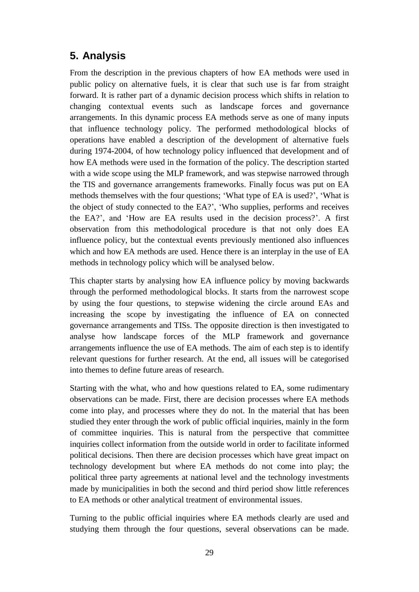# <span id="page-39-0"></span>**5. Analysis**

From the description in the previous chapters of how EA methods were used in public policy on alternative fuels, it is clear that such use is far from straight forward. It is rather part of a dynamic decision process which shifts in relation to changing contextual events such as landscape forces and governance arrangements. In this dynamic process EA methods serve as one of many inputs that influence technology policy. The performed methodological blocks of operations have enabled a description of the development of alternative fuels during 1974-2004, of how technology policy influenced that development and of how EA methods were used in the formation of the policy. The description started with a wide scope using the MLP framework, and was stepwise narrowed through the TIS and governance arrangements frameworks. Finally focus was put on EA methods themselves with the four questions; 'What type of EA is used?', 'What is the object of study connected to the EA?', 'Who supplies, performs and receives the EA?', and 'How are EA results used in the decision process?'. A first observation from this methodological procedure is that not only does EA influence policy, but the contextual events previously mentioned also influences which and how EA methods are used. Hence there is an interplay in the use of EA methods in technology policy which will be analysed below.

This chapter starts by analysing how EA influence policy by moving backwards through the performed methodological blocks. It starts from the narrowest scope by using the four questions, to stepwise widening the circle around EAs and increasing the scope by investigating the influence of EA on connected governance arrangements and TISs. The opposite direction is then investigated to analyse how landscape forces of the MLP framework and governance arrangements influence the use of EA methods. The aim of each step is to identify relevant questions for further research. At the end, all issues will be categorised into themes to define future areas of research.

Starting with the what, who and how questions related to EA, some rudimentary observations can be made. First, there are decision processes where EA methods come into play, and processes where they do not. In the material that has been studied they enter through the work of public official inquiries, mainly in the form of committee inquiries. This is natural from the perspective that committee inquiries collect information from the outside world in order to facilitate informed political decisions. Then there are decision processes which have great impact on technology development but where EA methods do not come into play; the political three party agreements at national level and the technology investments made by municipalities in both the second and third period show little references to EA methods or other analytical treatment of environmental issues.

Turning to the public official inquiries where EA methods clearly are used and studying them through the four questions, several observations can be made.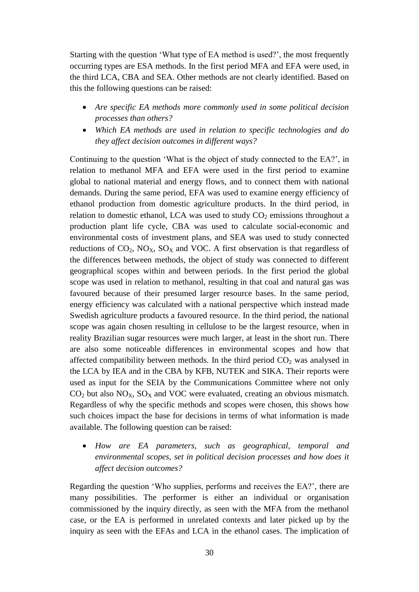Starting with the question 'What type of EA method is used?', the most frequently occurring types are ESA methods. In the first period MFA and EFA were used, in the third LCA, CBA and SEA. Other methods are not clearly identified. Based on this the following questions can be raised:

- *Are specific EA methods more commonly used in some political decision processes than others?*
- *Which EA methods are used in relation to specific technologies and do they affect decision outcomes in different ways?*

Continuing to the question 'What is the object of study connected to the EA?', in relation to methanol MFA and EFA were used in the first period to examine global to national material and energy flows, and to connect them with national demands. During the same period, EFA was used to examine energy efficiency of ethanol production from domestic agriculture products. In the third period, in relation to domestic ethanol, LCA was used to study  $CO<sub>2</sub>$  emissions throughout a production plant life cycle, CBA was used to calculate social-economic and environmental costs of investment plans, and SEA was used to study connected reductions of  $CO_2$ ,  $NO_X$ ,  $SO_X$  and VOC. A first observation is that regardless of the differences between methods, the object of study was connected to different geographical scopes within and between periods. In the first period the global scope was used in relation to methanol, resulting in that coal and natural gas was favoured because of their presumed larger resource bases. In the same period, energy efficiency was calculated with a national perspective which instead made Swedish agriculture products a favoured resource. In the third period, the national scope was again chosen resulting in cellulose to be the largest resource, when in reality Brazilian sugar resources were much larger, at least in the short run. There are also some noticeable differences in environmental scopes and how that affected compatibility between methods. In the third period  $CO<sub>2</sub>$  was analysed in the LCA by IEA and in the CBA by KFB, NUTEK and SIKA. Their reports were used as input for the SEIA by the Communications Committee where not only  $CO<sub>2</sub>$  but also  $NO<sub>X</sub>$ ,  $SO<sub>X</sub>$  and VOC were evaluated, creating an obvious mismatch. Regardless of why the specific methods and scopes were chosen, this shows how such choices impact the base for decisions in terms of what information is made available. The following question can be raised:

 *How are EA parameters, such as geographical, temporal and environmental scopes, set in political decision processes and how does it affect decision outcomes?*

Regarding the question 'Who supplies, performs and receives the EA?', there are many possibilities. The performer is either an individual or organisation commissioned by the inquiry directly, as seen with the MFA from the methanol case, or the EA is performed in unrelated contexts and later picked up by the inquiry as seen with the EFAs and LCA in the ethanol cases. The implication of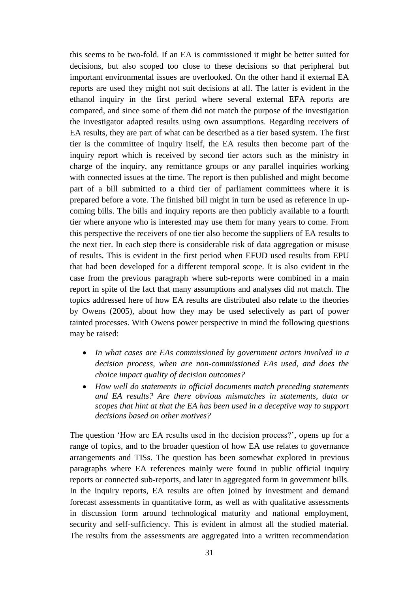this seems to be two-fold. If an EA is commissioned it might be better suited for decisions, but also scoped too close to these decisions so that peripheral but important environmental issues are overlooked. On the other hand if external EA reports are used they might not suit decisions at all. The latter is evident in the ethanol inquiry in the first period where several external EFA reports are compared, and since some of them did not match the purpose of the investigation the investigator adapted results using own assumptions. Regarding receivers of EA results, they are part of what can be described as a tier based system. The first tier is the committee of inquiry itself, the EA results then become part of the inquiry report which is received by second tier actors such as the ministry in charge of the inquiry, any remittance groups or any parallel inquiries working with connected issues at the time. The report is then published and might become part of a bill submitted to a third tier of parliament committees where it is prepared before a vote. The finished bill might in turn be used as reference in upcoming bills. The bills and inquiry reports are then publicly available to a fourth tier where anyone who is interested may use them for many years to come. From this perspective the receivers of one tier also become the suppliers of EA results to the next tier. In each step there is considerable risk of data aggregation or misuse of results. This is evident in the first period when EFUD used results from EPU that had been developed for a different temporal scope. It is also evident in the case from the previous paragraph where sub-reports were combined in a main report in spite of the fact that many assumptions and analyses did not match. The topics addressed here of how EA results are distributed also relate to the theories by Owens (2005), about how they may be used selectively as part of power tainted processes. With Owens power perspective in mind the following questions may be raised:

- *In what cases are EAs commissioned by government actors involved in a decision process, when are non-commissioned EAs used, and does the choice impact quality of decision outcomes?*
- *How well do statements in official documents match preceding statements and EA results? Are there obvious mismatches in statements, data or scopes that hint at that the EA has been used in a deceptive way to support decisions based on other motives?*

The question 'How are EA results used in the decision process?', opens up for a range of topics, and to the broader question of how EA use relates to governance arrangements and TISs. The question has been somewhat explored in previous paragraphs where EA references mainly were found in public official inquiry reports or connected sub-reports, and later in aggregated form in government bills. In the inquiry reports, EA results are often joined by investment and demand forecast assessments in quantitative form, as well as with qualitative assessments in discussion form around technological maturity and national employment, security and self-sufficiency. This is evident in almost all the studied material. The results from the assessments are aggregated into a written recommendation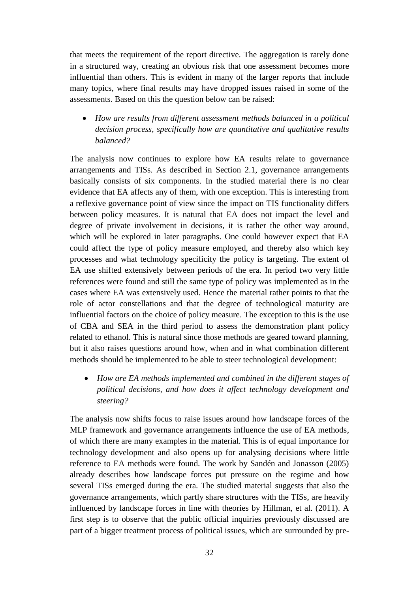that meets the requirement of the report directive. The aggregation is rarely done in a structured way, creating an obvious risk that one assessment becomes more influential than others. This is evident in many of the larger reports that include many topics, where final results may have dropped issues raised in some of the assessments. Based on this the question below can be raised:

 *How are results from different assessment methods balanced in a political decision process, specifically how are quantitative and qualitative results balanced?*

The analysis now continues to explore how EA results relate to governance arrangements and TISs. As described in Section 2.1, governance arrangements basically consists of six components. In the studied material there is no clear evidence that EA affects any of them, with one exception. This is interesting from a reflexive governance point of view since the impact on TIS functionality differs between policy measures. It is natural that EA does not impact the level and degree of private involvement in decisions, it is rather the other way around, which will be explored in later paragraphs. One could however expect that EA could affect the type of policy measure employed, and thereby also which key processes and what technology specificity the policy is targeting. The extent of EA use shifted extensively between periods of the era. In period two very little references were found and still the same type of policy was implemented as in the cases where EA was extensively used. Hence the material rather points to that the role of actor constellations and that the degree of technological maturity are influential factors on the choice of policy measure. The exception to this is the use of CBA and SEA in the third period to assess the demonstration plant policy related to ethanol. This is natural since those methods are geared toward planning, but it also raises questions around how, when and in what combination different methods should be implemented to be able to steer technological development:

 *How are EA methods implemented and combined in the different stages of political decisions, and how does it affect technology development and steering?*

The analysis now shifts focus to raise issues around how landscape forces of the MLP framework and governance arrangements influence the use of EA methods, of which there are many examples in the material. This is of equal importance for technology development and also opens up for analysing decisions where little reference to EA methods were found. The work by Sandén and Jonasson (2005) already describes how landscape forces put pressure on the regime and how several TISs emerged during the era. The studied material suggests that also the governance arrangements, which partly share structures with the TISs, are heavily influenced by landscape forces in line with theories by Hillman, et al. (2011). A first step is to observe that the public official inquiries previously discussed are part of a bigger treatment process of political issues, which are surrounded by pre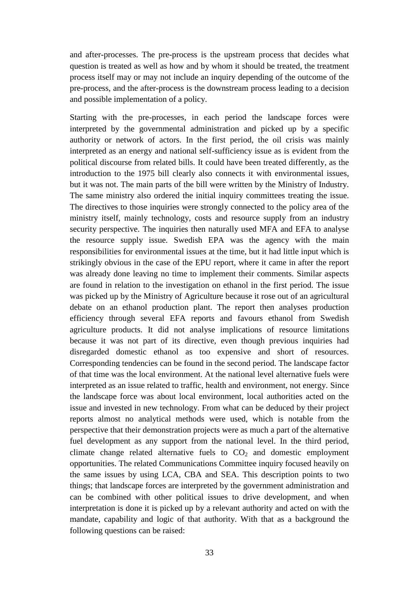and after-processes. The pre-process is the upstream process that decides what question is treated as well as how and by whom it should be treated, the treatment process itself may or may not include an inquiry depending of the outcome of the pre-process, and the after-process is the downstream process leading to a decision and possible implementation of a policy.

Starting with the pre-processes, in each period the landscape forces were interpreted by the governmental administration and picked up by a specific authority or network of actors. In the first period, the oil crisis was mainly interpreted as an energy and national self-sufficiency issue as is evident from the political discourse from related bills. It could have been treated differently, as the introduction to the 1975 bill clearly also connects it with environmental issues, but it was not. The main parts of the bill were written by the Ministry of Industry. The same ministry also ordered the initial inquiry committees treating the issue. The directives to those inquiries were strongly connected to the policy area of the ministry itself, mainly technology, costs and resource supply from an industry security perspective. The inquiries then naturally used MFA and EFA to analyse the resource supply issue. Swedish EPA was the agency with the main responsibilities for environmental issues at the time, but it had little input which is strikingly obvious in the case of the EPU report, where it came in after the report was already done leaving no time to implement their comments. Similar aspects are found in relation to the investigation on ethanol in the first period. The issue was picked up by the Ministry of Agriculture because it rose out of an agricultural debate on an ethanol production plant. The report then analyses production efficiency through several EFA reports and favours ethanol from Swedish agriculture products. It did not analyse implications of resource limitations because it was not part of its directive, even though previous inquiries had disregarded domestic ethanol as too expensive and short of resources. Corresponding tendencies can be found in the second period. The landscape factor of that time was the local environment. At the national level alternative fuels were interpreted as an issue related to traffic, health and environment, not energy. Since the landscape force was about local environment, local authorities acted on the issue and invested in new technology. From what can be deduced by their project reports almost no analytical methods were used, which is notable from the perspective that their demonstration projects were as much a part of the alternative fuel development as any support from the national level. In the third period, climate change related alternative fuels to  $CO<sub>2</sub>$  and domestic employment opportunities. The related Communications Committee inquiry focused heavily on the same issues by using LCA, CBA and SEA. This description points to two things; that landscape forces are interpreted by the government administration and can be combined with other political issues to drive development, and when interpretation is done it is picked up by a relevant authority and acted on with the mandate, capability and logic of that authority. With that as a background the following questions can be raised: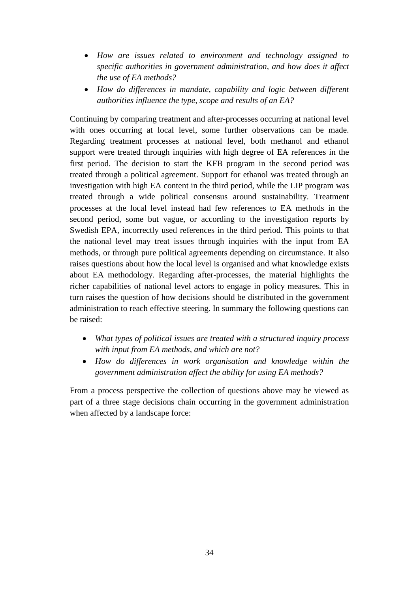- *How are issues related to environment and technology assigned to specific authorities in government administration, and how does it affect the use of EA methods?*
- *How do differences in mandate, capability and logic between different authorities influence the type, scope and results of an EA?*

Continuing by comparing treatment and after-processes occurring at national level with ones occurring at local level, some further observations can be made. Regarding treatment processes at national level, both methanol and ethanol support were treated through inquiries with high degree of EA references in the first period. The decision to start the KFB program in the second period was treated through a political agreement. Support for ethanol was treated through an investigation with high EA content in the third period, while the LIP program was treated through a wide political consensus around sustainability. Treatment processes at the local level instead had few references to EA methods in the second period, some but vague, or according to the investigation reports by Swedish EPA, incorrectly used references in the third period. This points to that the national level may treat issues through inquiries with the input from EA methods, or through pure political agreements depending on circumstance. It also raises questions about how the local level is organised and what knowledge exists about EA methodology. Regarding after-processes, the material highlights the richer capabilities of national level actors to engage in policy measures. This in turn raises the question of how decisions should be distributed in the government administration to reach effective steering. In summary the following questions can be raised:

- *What types of political issues are treated with a structured inquiry process with input from EA methods, and which are not?*
- *How do differences in work organisation and knowledge within the government administration affect the ability for using EA methods?*

From a process perspective the collection of questions above may be viewed as part of a three stage decisions chain occurring in the government administration when affected by a landscape force: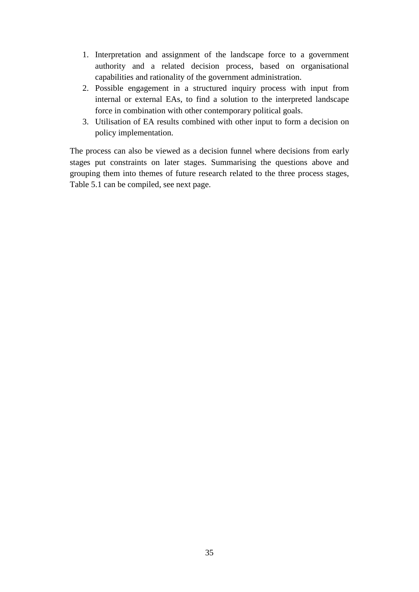- 1. Interpretation and assignment of the landscape force to a government authority and a related decision process, based on organisational capabilities and rationality of the government administration.
- 2. Possible engagement in a structured inquiry process with input from internal or external EAs, to find a solution to the interpreted landscape force in combination with other contemporary political goals.
- 3. Utilisation of EA results combined with other input to form a decision on policy implementation.

The process can also be viewed as a decision funnel where decisions from early stages put constraints on later stages. Summarising the questions above and grouping them into themes of future research related to the three process stages, Table 5.1 can be compiled, see next page.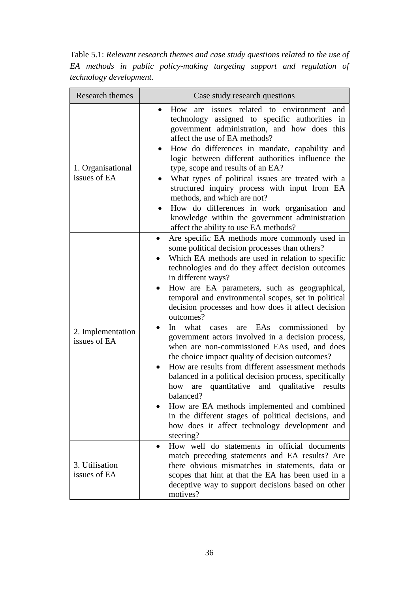Table 5.1: *Relevant research themes and case study questions related to the use of EA methods in public policy-making targeting support and regulation of technology development.*

| Research themes                   | Case study research questions                                                                                                                                                                                                                                                                                                                                                                                                                                                                                                                                                                                                                                                                                                                                                                                                                                                                                                                                                    |
|-----------------------------------|----------------------------------------------------------------------------------------------------------------------------------------------------------------------------------------------------------------------------------------------------------------------------------------------------------------------------------------------------------------------------------------------------------------------------------------------------------------------------------------------------------------------------------------------------------------------------------------------------------------------------------------------------------------------------------------------------------------------------------------------------------------------------------------------------------------------------------------------------------------------------------------------------------------------------------------------------------------------------------|
| 1. Organisational<br>issues of EA | issues related to environment and<br>How<br>are<br>technology assigned to specific authorities in<br>government administration, and how does this<br>affect the use of EA methods?<br>How do differences in mandate, capability and<br>logic between different authorities influence the<br>type, scope and results of an EA?<br>What types of political issues are treated with a<br>structured inquiry process with input from EA<br>methods, and which are not?<br>How do differences in work organisation and<br>knowledge within the government administration<br>affect the ability to use EA methods?                                                                                                                                                                                                                                                                                                                                                                     |
| 2. Implementation<br>issues of EA | Are specific EA methods more commonly used in<br>$\bullet$<br>some political decision processes than others?<br>Which EA methods are used in relation to specific<br>technologies and do they affect decision outcomes<br>in different ways?<br>How are EA parameters, such as geographical,<br>temporal and environmental scopes, set in political<br>decision processes and how does it affect decision<br>outcomes?<br>In what<br>cases are EAs commissioned by<br>government actors involved in a decision process,<br>when are non-commissioned EAs used, and does<br>the choice impact quality of decision outcomes?<br>How are results from different assessment methods<br>balanced in a political decision process, specifically<br>quantitative and qualitative<br>how are<br>results<br>balanced?<br>How are EA methods implemented and combined<br>in the different stages of political decisions, and<br>how does it affect technology development and<br>steering? |
| 3. Utilisation<br>issues of EA    | How well do statements in official documents<br>match preceding statements and EA results? Are<br>there obvious mismatches in statements, data or<br>scopes that hint at that the EA has been used in a<br>deceptive way to support decisions based on other<br>motives?                                                                                                                                                                                                                                                                                                                                                                                                                                                                                                                                                                                                                                                                                                         |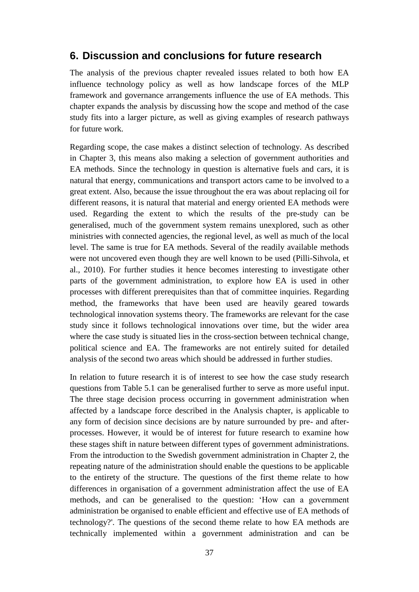#### <span id="page-47-0"></span>**6. Discussion and conclusions for future research**

The analysis of the previous chapter revealed issues related to both how EA influence technology policy as well as how landscape forces of the MLP framework and governance arrangements influence the use of EA methods. This chapter expands the analysis by discussing how the scope and method of the case study fits into a larger picture, as well as giving examples of research pathways for future work.

Regarding scope, the case makes a distinct selection of technology. As described in Chapter 3, this means also making a selection of government authorities and EA methods. Since the technology in question is alternative fuels and cars, it is natural that energy, communications and transport actors came to be involved to a great extent. Also, because the issue throughout the era was about replacing oil for different reasons, it is natural that material and energy oriented EA methods were used. Regarding the extent to which the results of the pre-study can be generalised, much of the government system remains unexplored, such as other ministries with connected agencies, the regional level, as well as much of the local level. The same is true for EA methods. Several of the readily available methods were not uncovered even though they are well known to be used (Pilli-Sihvola, et al., 2010). For further studies it hence becomes interesting to investigate other parts of the government administration, to explore how EA is used in other processes with different prerequisites than that of committee inquiries. Regarding method, the frameworks that have been used are heavily geared towards technological innovation systems theory. The frameworks are relevant for the case study since it follows technological innovations over time, but the wider area where the case study is situated lies in the cross-section between technical change, political science and EA. The frameworks are not entirely suited for detailed analysis of the second two areas which should be addressed in further studies.

In relation to future research it is of interest to see how the case study research questions from Table 5.1 can be generalised further to serve as more useful input. The three stage decision process occurring in government administration when affected by a landscape force described in the Analysis chapter, is applicable to any form of decision since decisions are by nature surrounded by pre- and afterprocesses. However, it would be of interest for future research to examine how these stages shift in nature between different types of government administrations. From the introduction to the Swedish government administration in Chapter 2, the repeating nature of the administration should enable the questions to be applicable to the entirety of the structure. The questions of the first theme relate to how differences in organisation of a government administration affect the use of EA methods, and can be generalised to the question: 'How can a government administration be organised to enable efficient and effective use of EA methods of technology?'. The questions of the second theme relate to how EA methods are technically implemented within a government administration and can be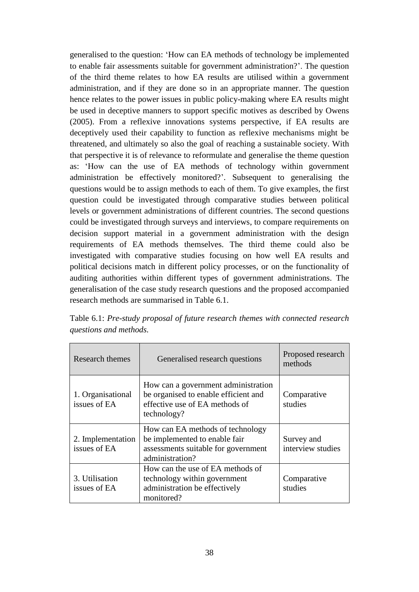generalised to the question: 'How can EA methods of technology be implemented to enable fair assessments suitable for government administration?'. The question of the third theme relates to how EA results are utilised within a government administration, and if they are done so in an appropriate manner. The question hence relates to the power issues in public policy-making where EA results might be used in deceptive manners to support specific motives as described by Owens (2005). From a reflexive innovations systems perspective, if EA results are deceptively used their capability to function as reflexive mechanisms might be threatened, and ultimately so also the goal of reaching a sustainable society. With that perspective it is of relevance to reformulate and generalise the theme question as: 'How can the use of EA methods of technology within government administration be effectively monitored?'. Subsequent to generalising the questions would be to assign methods to each of them. To give examples, the first question could be investigated through comparative studies between political levels or government administrations of different countries. The second questions could be investigated through surveys and interviews, to compare requirements on decision support material in a government administration with the design requirements of EA methods themselves. The third theme could also be investigated with comparative studies focusing on how well EA results and political decisions match in different policy processes, or on the functionality of auditing authorities within different types of government administrations. The generalisation of the case study research questions and the proposed accompanied research methods are summarised in Table 6.1.

| Research themes                   | Generalised research questions                                                                                               | Proposed research<br>methods    |
|-----------------------------------|------------------------------------------------------------------------------------------------------------------------------|---------------------------------|
| 1. Organisational<br>issues of EA | How can a government administration<br>be organised to enable efficient and<br>effective use of EA methods of<br>technology? | Comparative<br>studies          |
| 2. Implementation<br>issues of EA | How can EA methods of technology<br>be implemented to enable fair<br>assessments suitable for government<br>administration?  | Survey and<br>interview studies |
| 3. Utilisation<br>issues of EA    | How can the use of EA methods of<br>technology within government<br>administration be effectively<br>monitored?              | Comparative<br>studies          |

Table 6.1: *Pre-study proposal of future research themes with connected research questions and methods.*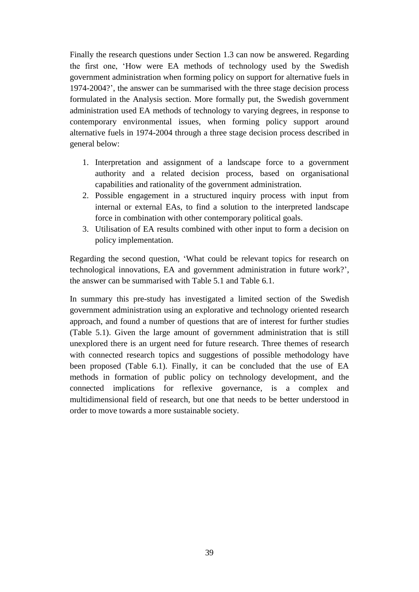Finally the research questions under Section 1.3 can now be answered. Regarding the first one, 'How were EA methods of technology used by the Swedish government administration when forming policy on support for alternative fuels in 1974-2004?', the answer can be summarised with the three stage decision process formulated in the Analysis section. More formally put, the Swedish government administration used EA methods of technology to varying degrees, in response to contemporary environmental issues, when forming policy support around alternative fuels in 1974-2004 through a three stage decision process described in general below:

- 1. Interpretation and assignment of a landscape force to a government authority and a related decision process, based on organisational capabilities and rationality of the government administration.
- 2. Possible engagement in a structured inquiry process with input from internal or external EAs, to find a solution to the interpreted landscape force in combination with other contemporary political goals.
- 3. Utilisation of EA results combined with other input to form a decision on policy implementation.

Regarding the second question, 'What could be relevant topics for research on technological innovations, EA and government administration in future work?', the answer can be summarised with Table 5.1 and Table 6.1.

In summary this pre-study has investigated a limited section of the Swedish government administration using an explorative and technology oriented research approach, and found a number of questions that are of interest for further studies (Table 5.1). Given the large amount of government administration that is still unexplored there is an urgent need for future research. Three themes of research with connected research topics and suggestions of possible methodology have been proposed (Table 6.1). Finally, it can be concluded that the use of EA methods in formation of public policy on technology development, and the connected implications for reflexive governance, is a complex and multidimensional field of research, but one that needs to be better understood in order to move towards a more sustainable society.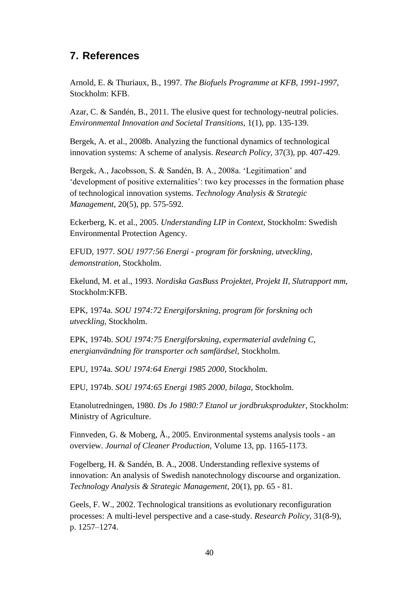# <span id="page-50-0"></span>**7. References**

Arnold, E. & Thuriaux, B., 1997. *The Biofuels Programme at KFB, 1991-1997,*  Stockholm: KFB.

Azar, C. & Sandén, B., 2011. The elusive quest for technology-neutral policies. *Environmental Innovation and Societal Transitions,* 1(1), pp. 135-139.

Bergek, A. et al., 2008b. Analyzing the functional dynamics of technological innovation systems: A scheme of analysis. *Research Policy,* 37(3), pp. 407-429.

Bergek, A., Jacobsson, S. & Sandén, B. A., 2008a. 'Legitimation' and 'development of positive externalities': two key processes in the formation phase of technological innovation systems. *Technology Analysis & Strategic Management,* 20(5), pp. 575-592.

Eckerberg, K. et al., 2005. *Understanding LIP in Context,* Stockholm: Swedish Environmental Protection Agency.

EFUD, 1977. *SOU 1977:56 Energi - program för forskning, utveckling, demonstration,* Stockholm.

Ekelund, M. et al., 1993. *Nordiska GasBuss Projektet, Projekt II, Slutrapport mm,*  Stockholm:KFB.

EPK, 1974a. *SOU 1974:72 Energiforskning, program för forskning och utveckling,* Stockholm.

EPK, 1974b. *SOU 1974:75 Energiforskning, expermaterial avdelning C, energianvändning för transporter och samfärdsel,* Stockholm.

EPU, 1974a. *SOU 1974:64 Energi 1985 2000,* Stockholm.

EPU, 1974b. *SOU 1974:65 Energi 1985 2000, bilaga,* Stockholm.

Etanolutredningen, 1980. *Ds Jo 1980:7 Etanol ur jordbruksprodukter,* Stockholm: Ministry of Agriculture.

Finnveden, G. & Moberg, Å., 2005. Environmental systems analysis tools - an overview. *Journal of Cleaner Production,* Volume 13, pp. 1165-1173.

Fogelberg, H. & Sandén, B. A., 2008. Understanding reflexive systems of innovation: An analysis of Swedish nanotechnology discourse and organization. *Technology Analysis & Strategic Management,* 20(1), pp. 65 - 81.

Geels, F. W., 2002. Technological transitions as evolutionary reconfiguration processes: A multi-level perspective and a case-study. *Research Policy,* 31(8-9), p. 1257–1274.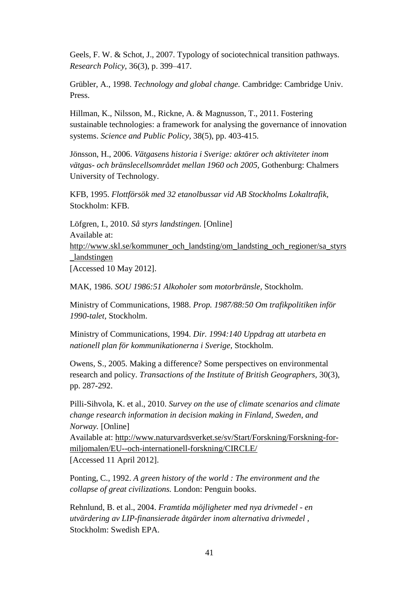Geels, F. W. & Schot, J., 2007. Typology of sociotechnical transition pathways. *Research Policy,* 36(3), p. 399–417.

Grübler, A., 1998. *Technology and global change.* Cambridge: Cambridge Univ. Press.

Hillman, K., Nilsson, M., Rickne, A. & Magnusson, T., 2011. Fostering sustainable technologies: a framework for analysing the governance of innovation systems. *Science and Public Policy,* 38(5), pp. 403-415.

Jönsson, H., 2006. *Vätgasens historia i Sverige: aktörer och aktiviteter inom vätgas- och bränslecellsområdet mellan 1960 och 2005,* Gothenburg: Chalmers University of Technology.

KFB, 1995. *Flottförsök med 32 etanolbussar vid AB Stockholms Lokaltrafik,*  Stockholm: KFB.

Löfgren, I., 2010. *Så styrs landstingen.* [Online] Available at: http://www.skl.se/kommuner\_och\_landsting/om\_landsting\_och\_regioner/sa\_styrs \_landstingen [Accessed 10 May 2012].

MAK, 1986. *SOU 1986:51 Alkoholer som motorbränsle,* Stockholm.

Ministry of Communications, 1988. *Prop. 1987/88:50 Om trafikpolitiken inför 1990-talet,* Stockholm.

Ministry of Communications, 1994. *Dir. 1994:140 Uppdrag att utarbeta en nationell plan för kommunikationerna i Sverige,* Stockholm.

Owens, S., 2005. Making a difference? Some perspectives on environmental research and policy. *Transactions of the Institute of British Geographers,* 30(3), pp. 287-292.

Pilli-Sihvola, K. et al., 2010. *Survey on the use of climate scenarios and climate change research information in decision making in Finland, Sweden, and Norway.* [Online] Available at: http://www.naturvardsverket.se/sv/Start/Forskning/Forskning-formiljomalen/EU--och-internationell-forskning/CIRCLE/ [Accessed 11 April 2012].

Ponting, C., 1992. *A green history of the world : The environment and the collapse of great civilizations.* London: Penguin books.

Rehnlund, B. et al., 2004. *Framtida möjligheter med nya drivmedel - en utvärdering av LIP-finansierade åtgärder inom alternativa drivmedel ,*  Stockholm: Swedish EPA.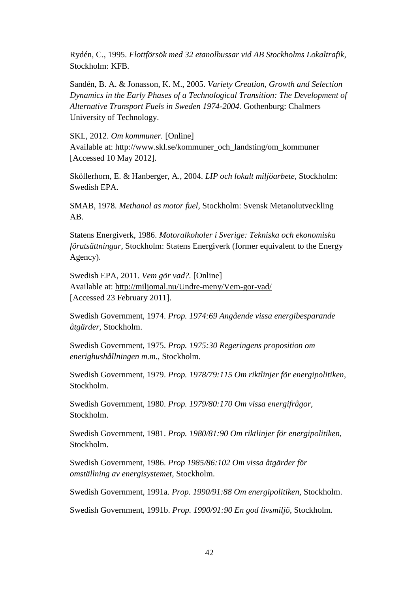Rydén, C., 1995. *Flottförsök med 32 etanolbussar vid AB Stockholms Lokaltrafik,*  Stockholm: KFB.

Sandén, B. A. & Jonasson, K. M., 2005. *Variety Creation, Growth and Selection Dynamics in the Early Phases of a Technological Transition: The Development of Alternative Transport Fuels in Sweden 1974-2004.* Gothenburg: Chalmers University of Technology.

SKL, 2012. *Om kommuner.* [Online] Available at: http://www.skl.se/kommuner\_och\_landsting/om\_kommuner [Accessed 10 May 2012].

Sköllerhorn, E. & Hanberger, A., 2004. *LIP och lokalt miljöarbete,* Stockholm: Swedish EPA.

SMAB, 1978. *Methanol as motor fuel,* Stockholm: Svensk Metanolutveckling AB.

Statens Energiverk, 1986. *Motoralkoholer i Sverige: Tekniska och ekonomiska förutsättningar,* Stockholm: Statens Energiverk (former equivalent to the Energy Agency).

Swedish EPA, 2011. *Vem gör vad?.* [Online] Available at: http://miljomal.nu/Undre-meny/Vem-gor-vad/ [Accessed 23 February 2011].

Swedish Government, 1974. *Prop. 1974:69 Angående vissa energibesparande åtgärder,* Stockholm.

Swedish Government, 1975. *Prop. 1975:30 Regeringens proposition om enerighushållningen m.m.,* Stockholm.

Swedish Government, 1979. *Prop. 1978/79:115 Om riktlinjer för energipolitiken,*  Stockholm.

Swedish Government, 1980. *Prop. 1979/80:170 Om vissa energifrågor,*  Stockholm.

Swedish Government, 1981. *Prop. 1980/81:90 Om riktlinjer för energipolitiken,*  Stockholm.

Swedish Government, 1986. *Prop 1985/86:102 Om vissa åtgärder för omställning av energisystemet,* Stockholm.

Swedish Government, 1991a. *Prop. 1990/91:88 Om energipolitiken,* Stockholm.

Swedish Government, 1991b. *Prop. 1990/91:90 En god livsmiljö,* Stockholm.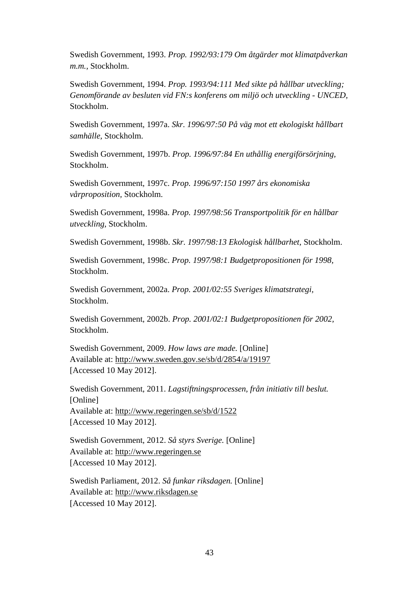Swedish Government, 1993. *Prop. 1992/93:179 Om åtgärder mot klimatpåverkan m.m.,* Stockholm.

Swedish Government, 1994. *Prop. 1993/94:111 Med sikte på hållbar utveckling; Genomförande av besluten vid FN:s konferens om miljö och utveckling - UNCED,*  Stockholm.

Swedish Government, 1997a. *Skr. 1996/97:50 På väg mot ett ekologiskt hållbart samhälle,* Stockholm.

Swedish Government, 1997b. *Prop. 1996/97:84 En uthållig energiförsörjning,*  Stockholm.

Swedish Government, 1997c. *Prop. 1996/97:150 1997 års ekonomiska vårproposition,* Stockholm.

Swedish Government, 1998a. *Prop. 1997/98:56 Transportpolitik för en hållbar utveckling,* Stockholm.

Swedish Government, 1998b. *Skr. 1997/98:13 Ekologisk hållbarhet,* Stockholm.

Swedish Government, 1998c. *Prop. 1997/98:1 Budgetpropositionen för 1998,*  Stockholm.

Swedish Government, 2002a. *Prop. 2001/02:55 Sveriges klimatstrategi,*  Stockholm.

Swedish Government, 2002b. *Prop. 2001/02:1 Budgetpropositionen för 2002,*  Stockholm.

Swedish Government, 2009. *How laws are made.* [Online] Available at: http://www.sweden.gov.se/sb/d/2854/a/19197 [Accessed 10 May 2012].

Swedish Government, 2011. *Lagstiftningsprocessen, från initiativ till beslut.*  [Online] Available at: http://www.regeringen.se/sb/d/1522 [Accessed 10 May 2012].

Swedish Government, 2012. *Så styrs Sverige.* [Online] Available at: http://www.regeringen.se [Accessed 10 May 2012].

Swedish Parliament, 2012. *Så funkar riksdagen.* [Online] Available at: http://www.riksdagen.se [Accessed 10 May 2012].